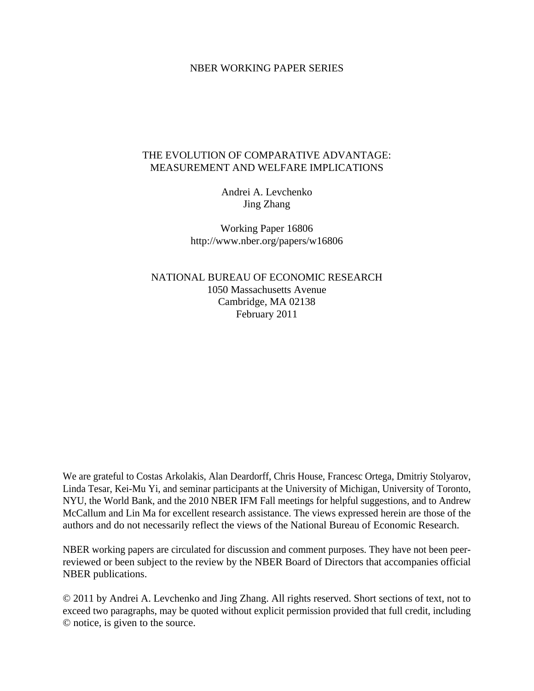## NBER WORKING PAPER SERIES

# THE EVOLUTION OF COMPARATIVE ADVANTAGE: MEASUREMENT AND WELFARE IMPLICATIONS

Andrei A. Levchenko Jing Zhang

Working Paper 16806 http://www.nber.org/papers/w16806

NATIONAL BUREAU OF ECONOMIC RESEARCH 1050 Massachusetts Avenue Cambridge, MA 02138 February 2011

We are grateful to Costas Arkolakis, Alan Deardorff, Chris House, Francesc Ortega, Dmitriy Stolyarov, Linda Tesar, Kei-Mu Yi, and seminar participants at the University of Michigan, University of Toronto, NYU, the World Bank, and the 2010 NBER IFM Fall meetings for helpful suggestions, and to Andrew McCallum and Lin Ma for excellent research assistance. The views expressed herein are those of the authors and do not necessarily reflect the views of the National Bureau of Economic Research.

NBER working papers are circulated for discussion and comment purposes. They have not been peerreviewed or been subject to the review by the NBER Board of Directors that accompanies official NBER publications.

© 2011 by Andrei A. Levchenko and Jing Zhang. All rights reserved. Short sections of text, not to exceed two paragraphs, may be quoted without explicit permission provided that full credit, including © notice, is given to the source.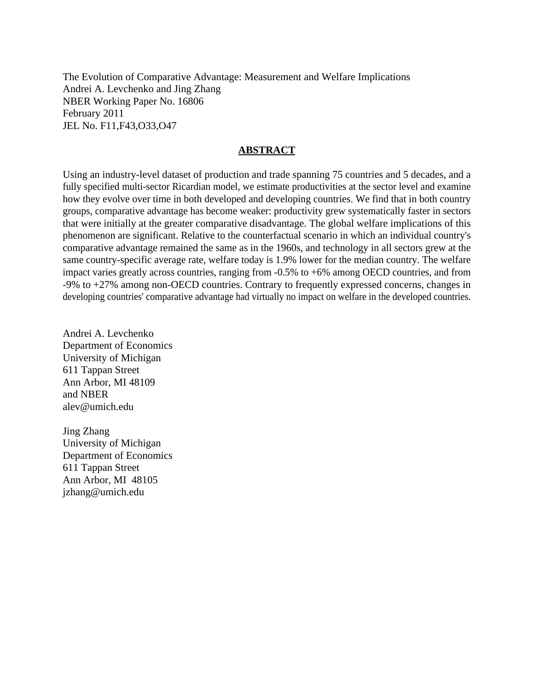The Evolution of Comparative Advantage: Measurement and Welfare Implications Andrei A. Levchenko and Jing Zhang NBER Working Paper No. 16806 February 2011 JEL No. F11,F43,O33,O47

## **ABSTRACT**

Using an industry-level dataset of production and trade spanning 75 countries and 5 decades, and a fully specified multi-sector Ricardian model, we estimate productivities at the sector level and examine how they evolve over time in both developed and developing countries. We find that in both country groups, comparative advantage has become weaker: productivity grew systematically faster in sectors that were initially at the greater comparative disadvantage. The global welfare implications of this phenomenon are significant. Relative to the counterfactual scenario in which an individual country's comparative advantage remained the same as in the 1960s, and technology in all sectors grew at the same country-specific average rate, welfare today is 1.9% lower for the median country. The welfare impact varies greatly across countries, ranging from -0.5% to +6% among OECD countries, and from -9% to +27% among non-OECD countries. Contrary to frequently expressed concerns, changes in developing countries' comparative advantage had virtually no impact on welfare in the developed countries.

Andrei A. Levchenko Department of Economics University of Michigan 611 Tappan Street Ann Arbor, MI 48109 and NBER alev@umich.edu

Jing Zhang University of Michigan Department of Economics 611 Tappan Street Ann Arbor, MI 48105 jzhang@umich.edu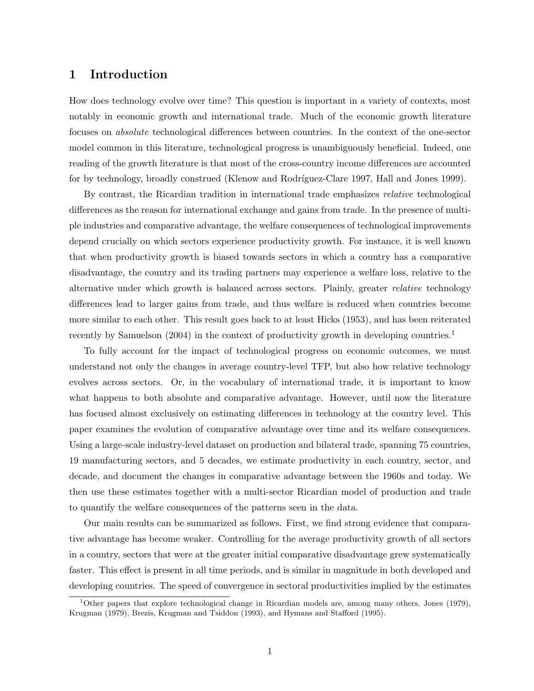# 1 Introduction

How does technology evolve over time? This question is important in a variety of contexts, most notably in economic growth and international trade. Much of the economic growth literature focuses on absolute technological differences between countries. In the context of the one-sector model common in this literature, technological progress is unambiguously beneficial. Indeed, one reading of the growth literature is that most of the cross-country income differences are accounted for by technology, broadly construed (Klenow and Rodríguez-Clare 1997, Hall and Jones 1999).

By contrast, the Ricardian tradition in international trade emphasizes relative technological differences as the reason for international exchange and gains from trade. In the presence of multiple industries and comparative advantage, the welfare consequences of technological improvements depend crucially on which sectors experience productivity growth. For instance, it is well known that when productivity growth is biased towards sectors in which a country has a comparative disadvantage, the country and its trading partners may experience a welfare loss, relative to the alternative under which growth is balanced across sectors. Plainly, greater *relative* technology differences lead to larger gains from trade, and thus welfare is reduced when countries become more similar to each other. This result goes back to at least Hicks (1953), and has been reiterated recently by Samuelson (2004) in the context of productivity growth in developing countries.<sup>1</sup>

To fully account for the impact of technological progress on economic outcomes, we must understand not only the changes in average country-level TFP, but also how relative technology evolves across sectors. Or, in the vocabulary of international trade, it is important to know what happens to both absolute and comparative advantage. However, until now the literature has focused almost exclusively on estimating differences in technology at the country level. This paper examines the evolution of comparative advantage over time and its welfare consequences. Using a large-scale industry-level dataset on production and bilateral trade, spanning 75 countries, 19 manufacturing sectors, and 5 decades, we estimate productivity in each country, sector, and decade, and document the changes in comparative advantage between the 1960s and today. We then use these estimates together with a multi-sector Ricardian model of production and trade to quantify the welfare consequences of the patterns seen in the data.

Our main results can be summarized as follows. First, we find strong evidence that comparative advantage has become weaker. Controlling for the average productivity growth of all sectors in a country, sectors that were at the greater initial comparative disadvantage grew systematically faster. This effect is present in all time periods, and is similar in magnitude in both developed and developing countries. The speed of convergence in sectoral productivities implied by the estimates

<sup>&</sup>lt;sup>1</sup>Other papers that explore technological change in Ricardian models are, among many others, Jones (1979), Krugman (1979), Brezis, Krugman and Tsiddon (1993), and Hymans and Stafford (1995).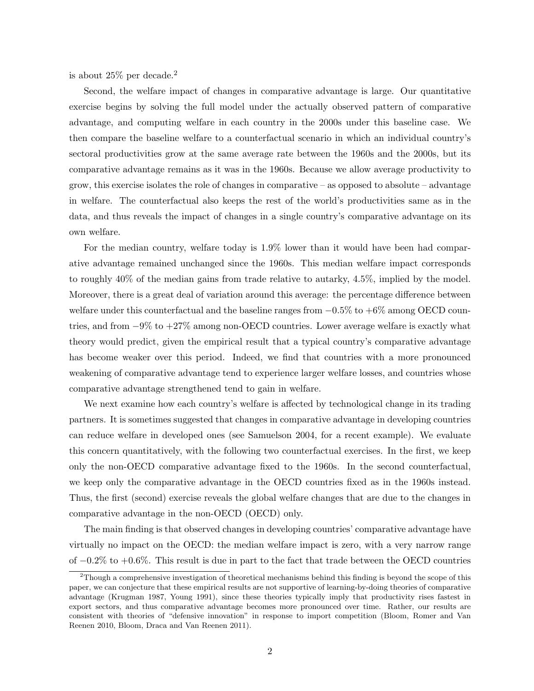is about  $25\%$  per decade.<sup>2</sup>

Second, the welfare impact of changes in comparative advantage is large. Our quantitative exercise begins by solving the full model under the actually observed pattern of comparative advantage, and computing welfare in each country in the 2000s under this baseline case. We then compare the baseline welfare to a counterfactual scenario in which an individual country's sectoral productivities grow at the same average rate between the 1960s and the 2000s, but its comparative advantage remains as it was in the 1960s. Because we allow average productivity to grow, this exercise isolates the role of changes in comparative – as opposed to absolute – advantage in welfare. The counterfactual also keeps the rest of the world's productivities same as in the data, and thus reveals the impact of changes in a single country's comparative advantage on its own welfare.

For the median country, welfare today is 1.9% lower than it would have been had comparative advantage remained unchanged since the 1960s. This median welfare impact corresponds to roughly 40% of the median gains from trade relative to autarky, 4.5%, implied by the model. Moreover, there is a great deal of variation around this average: the percentage difference between welfare under this counterfactual and the baseline ranges from  $-0.5\%$  to  $+6\%$  among OECD countries, and from −9% to +27% among non-OECD countries. Lower average welfare is exactly what theory would predict, given the empirical result that a typical country's comparative advantage has become weaker over this period. Indeed, we find that countries with a more pronounced weakening of comparative advantage tend to experience larger welfare losses, and countries whose comparative advantage strengthened tend to gain in welfare.

We next examine how each country's welfare is affected by technological change in its trading partners. It is sometimes suggested that changes in comparative advantage in developing countries can reduce welfare in developed ones (see Samuelson 2004, for a recent example). We evaluate this concern quantitatively, with the following two counterfactual exercises. In the first, we keep only the non-OECD comparative advantage fixed to the 1960s. In the second counterfactual, we keep only the comparative advantage in the OECD countries fixed as in the 1960s instead. Thus, the first (second) exercise reveals the global welfare changes that are due to the changes in comparative advantage in the non-OECD (OECD) only.

The main finding is that observed changes in developing countries' comparative advantage have virtually no impact on the OECD: the median welfare impact is zero, with a very narrow range of −0.2% to +0.6%. This result is due in part to the fact that trade between the OECD countries

 $2$ Though a comprehensive investigation of theoretical mechanisms behind this finding is beyond the scope of this paper, we can conjecture that these empirical results are not supportive of learning-by-doing theories of comparative advantage (Krugman 1987, Young 1991), since these theories typically imply that productivity rises fastest in export sectors, and thus comparative advantage becomes more pronounced over time. Rather, our results are consistent with theories of "defensive innovation" in response to import competition (Bloom, Romer and Van Reenen 2010, Bloom, Draca and Van Reenen 2011).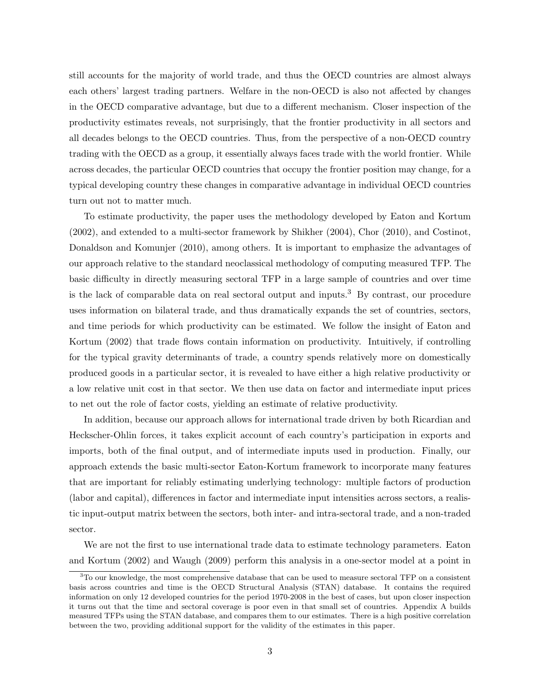still accounts for the majority of world trade, and thus the OECD countries are almost always each others' largest trading partners. Welfare in the non-OECD is also not affected by changes in the OECD comparative advantage, but due to a different mechanism. Closer inspection of the productivity estimates reveals, not surprisingly, that the frontier productivity in all sectors and all decades belongs to the OECD countries. Thus, from the perspective of a non-OECD country trading with the OECD as a group, it essentially always faces trade with the world frontier. While across decades, the particular OECD countries that occupy the frontier position may change, for a typical developing country these changes in comparative advantage in individual OECD countries turn out not to matter much.

To estimate productivity, the paper uses the methodology developed by Eaton and Kortum (2002), and extended to a multi-sector framework by Shikher (2004), Chor (2010), and Costinot, Donaldson and Komunjer (2010), among others. It is important to emphasize the advantages of our approach relative to the standard neoclassical methodology of computing measured TFP. The basic difficulty in directly measuring sectoral TFP in a large sample of countries and over time is the lack of comparable data on real sectoral output and inputs.<sup>3</sup> By contrast, our procedure uses information on bilateral trade, and thus dramatically expands the set of countries, sectors, and time periods for which productivity can be estimated. We follow the insight of Eaton and Kortum (2002) that trade flows contain information on productivity. Intuitively, if controlling for the typical gravity determinants of trade, a country spends relatively more on domestically produced goods in a particular sector, it is revealed to have either a high relative productivity or a low relative unit cost in that sector. We then use data on factor and intermediate input prices to net out the role of factor costs, yielding an estimate of relative productivity.

In addition, because our approach allows for international trade driven by both Ricardian and Heckscher-Ohlin forces, it takes explicit account of each country's participation in exports and imports, both of the final output, and of intermediate inputs used in production. Finally, our approach extends the basic multi-sector Eaton-Kortum framework to incorporate many features that are important for reliably estimating underlying technology: multiple factors of production (labor and capital), differences in factor and intermediate input intensities across sectors, a realistic input-output matrix between the sectors, both inter- and intra-sectoral trade, and a non-traded sector.

We are not the first to use international trade data to estimate technology parameters. Eaton and Kortum (2002) and Waugh (2009) perform this analysis in a one-sector model at a point in

<sup>&</sup>lt;sup>3</sup>To our knowledge, the most comprehensive database that can be used to measure sectoral TFP on a consistent basis across countries and time is the OECD Structural Analysis (STAN) database. It contains the required information on only 12 developed countries for the period 1970-2008 in the best of cases, but upon closer inspection it turns out that the time and sectoral coverage is poor even in that small set of countries. Appendix A builds measured TFPs using the STAN database, and compares them to our estimates. There is a high positive correlation between the two, providing additional support for the validity of the estimates in this paper.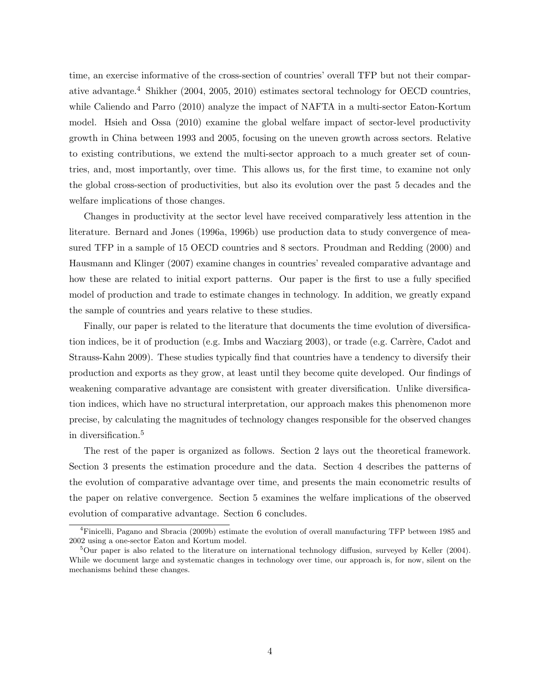time, an exercise informative of the cross-section of countries' overall TFP but not their comparative advantage.<sup>4</sup> Shikher (2004, 2005, 2010) estimates sectoral technology for OECD countries, while Caliendo and Parro (2010) analyze the impact of NAFTA in a multi-sector Eaton-Kortum model. Hsieh and Ossa (2010) examine the global welfare impact of sector-level productivity growth in China between 1993 and 2005, focusing on the uneven growth across sectors. Relative to existing contributions, we extend the multi-sector approach to a much greater set of countries, and, most importantly, over time. This allows us, for the first time, to examine not only the global cross-section of productivities, but also its evolution over the past 5 decades and the welfare implications of those changes.

Changes in productivity at the sector level have received comparatively less attention in the literature. Bernard and Jones (1996a, 1996b) use production data to study convergence of measured TFP in a sample of 15 OECD countries and 8 sectors. Proudman and Redding (2000) and Hausmann and Klinger (2007) examine changes in countries' revealed comparative advantage and how these are related to initial export patterns. Our paper is the first to use a fully specified model of production and trade to estimate changes in technology. In addition, we greatly expand the sample of countries and years relative to these studies.

Finally, our paper is related to the literature that documents the time evolution of diversification indices, be it of production (e.g. Imbs and Wacziarg  $2003$ ), or trade (e.g. Carrère, Cadot and Strauss-Kahn 2009). These studies typically find that countries have a tendency to diversify their production and exports as they grow, at least until they become quite developed. Our findings of weakening comparative advantage are consistent with greater diversification. Unlike diversification indices, which have no structural interpretation, our approach makes this phenomenon more precise, by calculating the magnitudes of technology changes responsible for the observed changes in diversification.<sup>5</sup>

The rest of the paper is organized as follows. Section 2 lays out the theoretical framework. Section 3 presents the estimation procedure and the data. Section 4 describes the patterns of the evolution of comparative advantage over time, and presents the main econometric results of the paper on relative convergence. Section 5 examines the welfare implications of the observed evolution of comparative advantage. Section 6 concludes.

<sup>4</sup>Finicelli, Pagano and Sbracia (2009b) estimate the evolution of overall manufacturing TFP between 1985 and 2002 using a one-sector Eaton and Kortum model.

 $5$ Our paper is also related to the literature on international technology diffusion, surveyed by Keller (2004). While we document large and systematic changes in technology over time, our approach is, for now, silent on the mechanisms behind these changes.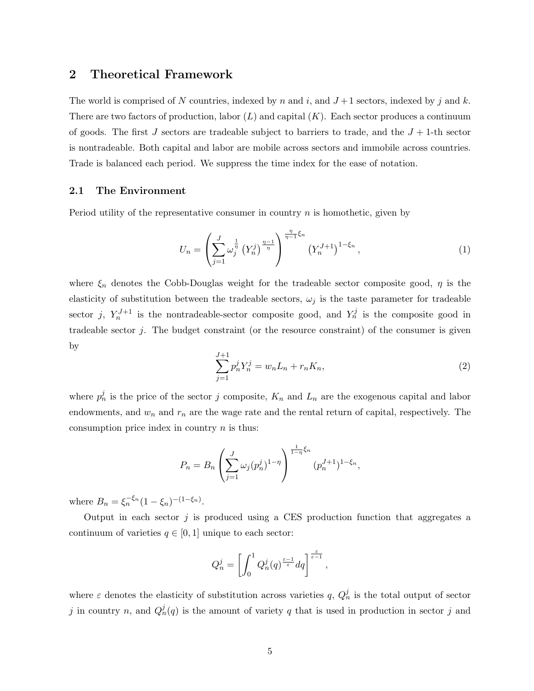## 2 Theoretical Framework

The world is comprised of N countries, indexed by n and i, and  $J+1$  sectors, indexed by j and k. There are two factors of production, labor  $(L)$  and capital  $(K)$ . Each sector produces a continuum of goods. The first J sectors are tradeable subject to barriers to trade, and the  $J + 1$ -th sector is nontradeable. Both capital and labor are mobile across sectors and immobile across countries. Trade is balanced each period. We suppress the time index for the ease of notation.

### 2.1 The Environment

Period utility of the representative consumer in country  $n$  is homothetic, given by

$$
U_n = \left(\sum_{j=1}^{J} \omega_j^{\frac{1}{\eta}} \left(Y_n^j\right)^{\frac{\eta-1}{\eta}}\right)^{\frac{\eta}{\eta-1}\xi_n} \left(Y_n^{J+1}\right)^{1-\xi_n},\tag{1}
$$

where  $\xi_n$  denotes the Cobb-Douglas weight for the tradeable sector composite good,  $\eta$  is the elasticity of substitution between the tradeable sectors,  $\omega_j$  is the taste parameter for tradeable sector j,  $Y_n^{J+1}$  is the nontradeable-sector composite good, and  $Y_n^j$  is the composite good in tradeable sector  $j$ . The budget constraint (or the resource constraint) of the consumer is given by

$$
\sum_{j=1}^{J+1} p_n^j Y_n^j = w_n L_n + r_n K_n,
$$
\n(2)

where  $p_n^j$  is the price of the sector j composite,  $K_n$  and  $L_n$  are the exogenous capital and labor endowments, and  $w_n$  and  $r_n$  are the wage rate and the rental return of capital, respectively. The consumption price index in country  $n$  is thus:

$$
P_n = B_n \left( \sum_{j=1}^J \omega_j (p_n^j)^{1-\eta} \right)^{\frac{1}{1-\eta} \xi_n} (p_n^{J+1})^{1-\xi_n},
$$

where  $B_n = \xi_n^{-\xi_n} (1 - \xi_n)^{-(1 - \xi_n)}$ .

Output in each sector  $j$  is produced using a CES production function that aggregates a continuum of varieties  $q \in [0, 1]$  unique to each sector:

$$
Q_n^j = \left[ \int_0^1 Q_n^j(q)^{\frac{\varepsilon-1}{\varepsilon}}dq \right]^{\frac{\varepsilon}{\varepsilon-1}},
$$

where  $\varepsilon$  denotes the elasticity of substitution across varieties q,  $Q_n^j$  is the total output of sector j in country n, and  $Q_n^j(q)$  is the amount of variety q that is used in production in sector j and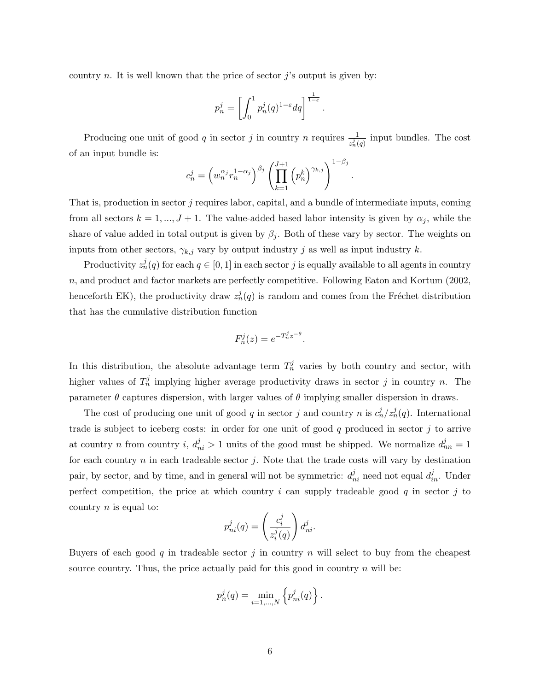country n. It is well known that the price of sector  $j$ 's output is given by:

$$
p_n^j = \left[ \int_0^1 p_n^j(q)^{1-\varepsilon} dq \right]^{\frac{1}{1-\varepsilon}}
$$

.

Producing one unit of good q in sector j in country n requires  $\frac{1}{z_n^j(q)}$  input bundles. The cost of an input bundle is:

$$
c_n^j = \left(w_n^{\alpha_j} r_n^{1-\alpha_j}\right)^{\beta_j} \left(\prod_{k=1}^{J+1} \left(p_n^k\right)^{\gamma_{k,j}}\right)^{1-\beta_j}.
$$

That is, production in sector j requires labor, capital, and a bundle of intermediate inputs, coming from all sectors  $k = 1, ..., J + 1$ . The value-added based labor intensity is given by  $\alpha_j$ , while the share of value added in total output is given by  $\beta_j$ . Both of these vary by sector. The weights on inputs from other sectors,  $\gamma_{k,j}$  vary by output industry j as well as input industry k.

Productivity  $z_n^j(q)$  for each  $q \in [0,1]$  in each sector  $j$  is equally available to all agents in country n, and product and factor markets are perfectly competitive. Following Eaton and Kortum (2002, henceforth EK), the productivity draw  $z_n^j(q)$  is random and comes from the Fréchet distribution that has the cumulative distribution function

$$
F_n^j(z) = e^{-T_n^j z^{-\theta}}.
$$

In this distribution, the absolute advantage term  $T_n^j$  varies by both country and sector, with higher values of  $T_n^j$  implying higher average productivity draws in sector j in country n. The parameter  $\theta$  captures dispersion, with larger values of  $\theta$  implying smaller dispersion in draws.

The cost of producing one unit of good q in sector j and country n is  $c_n^j/z_n^j(q)$ . International trade is subject to iceberg costs: in order for one unit of good  $q$  produced in sector  $j$  to arrive at country *n* from country *i*,  $d_{ni}^j > 1$  units of the good must be shipped. We normalize  $d_{nn}^j = 1$ for each country  $n$  in each tradeable sector  $j$ . Note that the trade costs will vary by destination pair, by sector, and by time, and in general will not be symmetric:  $d_{ni}^j$  need not equal  $d_{in}^j$ . Under perfect competition, the price at which country i can supply tradeable good  $q$  in sector j to country  $n$  is equal to:

$$
p_{ni}^j(q) = \left(\frac{c_i^j}{z_i^j(q)}\right) d_{ni}^j.
$$

Buyers of each good q in tradeable sector j in country  $n$  will select to buy from the cheapest source country. Thus, the price actually paid for this good in country  $n$  will be:

$$
p_n^j(q) = \min_{i=1,\dots,N} \left\{ p_{ni}^j(q) \right\}.
$$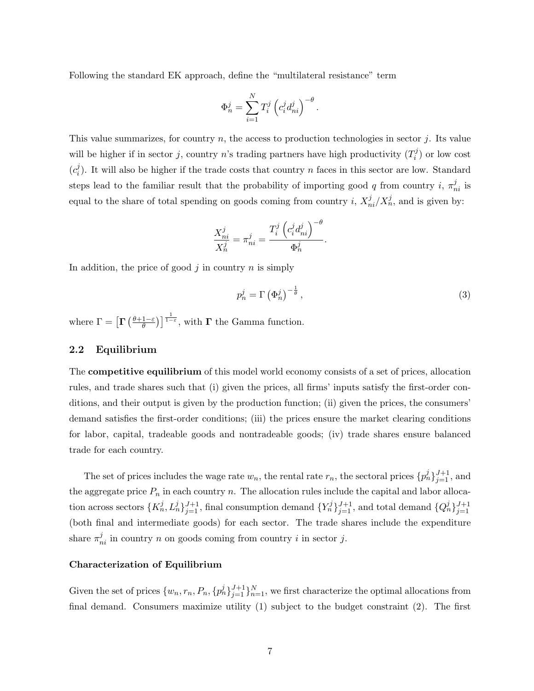Following the standard EK approach, define the "multilateral resistance" term

$$
\Phi_n^j = \sum_{i=1}^N T_i^j \left( c_i^j d_{ni}^j \right)^{-\theta}.
$$

This value summarizes, for country  $n$ , the access to production technologies in sector  $j$ . Its value will be higher if in sector j, country n's trading partners have high productivity  $(T_i^j)$  $i^j$ ) or low cost  $(c_i^j)$  $i<sub>i</sub>$ ). It will also be higher if the trade costs that country n faces in this sector are low. Standard steps lead to the familiar result that the probability of importing good q from country i,  $\pi_{ni}^{j}$  is equal to the share of total spending on goods coming from country i,  $X_{ni}^j/X_n^j$ , and is given by:

$$
\frac{X_{ni}^j}{X_n^j} = \pi_{ni}^j = \frac{T_i^j \left( c_i^j d_{ni}^j \right)^{-\theta}}{\Phi_n^j}.
$$

In addition, the price of good  $j$  in country  $n$  is simply

$$
p_n^j = \Gamma\left(\Phi_n^j\right)^{-\frac{1}{\theta}},\tag{3}
$$

where  $\Gamma = \left[ \Gamma \left( \frac{\theta + 1 - \varepsilon}{\theta} \right) \right]$  $\left(\frac{1-\varepsilon}{\theta}\right)\right]^{\frac{1}{1-\varepsilon}}$ , with  $\Gamma$  the Gamma function.

### 2.2 Equilibrium

The competitive equilibrium of this model world economy consists of a set of prices, allocation rules, and trade shares such that (i) given the prices, all firms' inputs satisfy the first-order conditions, and their output is given by the production function; (ii) given the prices, the consumers' demand satisfies the first-order conditions; (iii) the prices ensure the market clearing conditions for labor, capital, tradeable goods and nontradeable goods; (iv) trade shares ensure balanced trade for each country.

The set of prices includes the wage rate  $w_n$ , the rental rate  $r_n$ , the sectoral prices  $\{p_n^j\}_{j=1}^{J+1}$ , and the aggregate price  $P_n$  in each country n. The allocation rules include the capital and labor allocation across sectors  $\{K_n^j, L_n^j\}_{j=1}^{J+1}$ , final consumption demand  $\{Y_n^j\}_{j=1}^{J+1}$ , and total demand  $\{Q_n^j\}_{j=1}^{J+1}$ (both final and intermediate goods) for each sector. The trade shares include the expenditure share  $\pi_{ni}^j$  in country n on goods coming from country i in sector j.

#### Characterization of Equilibrium

Given the set of prices  $\{w_n, r_n, P_n, \{p_n^j\}_{j=1}^{J+1}\}_{n=1}^N$ , we first characterize the optimal allocations from final demand. Consumers maximize utility (1) subject to the budget constraint (2). The first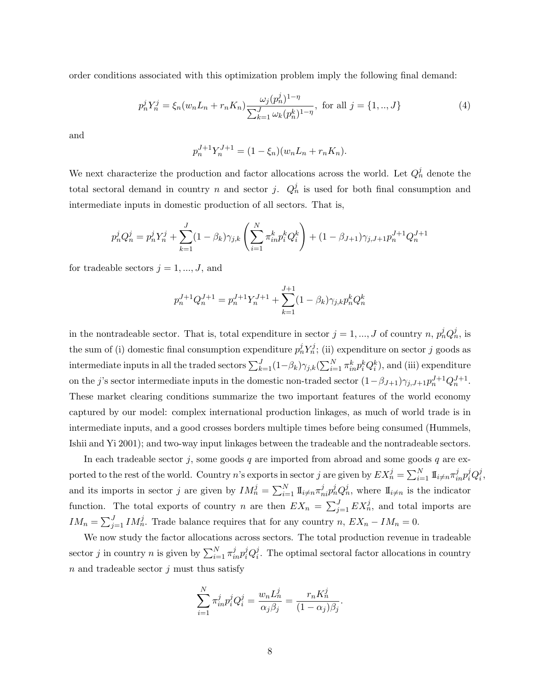order conditions associated with this optimization problem imply the following final demand:

$$
p_n^j Y_n^j = \xi_n (w_n L_n + r_n K_n) \frac{\omega_j (p_n^j)^{1-\eta}}{\sum_{k=1}^J \omega_k (p_n^k)^{1-\eta}}, \text{ for all } j = \{1, ..., J\}
$$
(4)

and

$$
p_n^{J+1} Y_n^{J+1} = (1 - \xi_n)(w_n L_n + r_n K_n).
$$

We next characterize the production and factor allocations across the world. Let  $Q_n^j$  denote the total sectoral demand in country n and sector j.  $Q_n^j$  is used for both final consumption and intermediate inputs in domestic production of all sectors. That is,

$$
p_n^j Q_n^j = p_n^j Y_n^j + \sum_{k=1}^J (1 - \beta_k) \gamma_{j,k} \left( \sum_{i=1}^N \pi_{in}^k p_i^k Q_i^k \right) + (1 - \beta_{J+1}) \gamma_{j,J+1} p_n^{J+1} Q_n^{J+1}
$$

for tradeable sectors  $j = 1, ..., J$ , and

$$
p_n^{J+1} Q_n^{J+1} = p_n^{J+1} Y_n^{J+1} + \sum_{k=1}^{J+1} (1 - \beta_k) \gamma_{j,k} p_n^k Q_n^k
$$

in the nontradeable sector. That is, total expenditure in sector  $j = 1, ..., J$  of country  $n, p_n^j Q_n^j$ , is the sum of (i) domestic final consumption expenditure  $p_n^j Y_n^j$ ; (ii) expenditure on sector j goods as intermediate inputs in all the traded sectors  $\sum_{k=1}^{J} (1-\beta_k) \gamma_{j,k} (\sum_{i=1}^{N} \pi_{in}^k p_i^k Q_i^k)$ , and (iii) expenditure on the j's sector intermediate inputs in the domestic non-traded sector  $(1 - \beta_{J+1})\gamma_{j,J+1}p_n^{J+1}Q_n^{J+1}$ . These market clearing conditions summarize the two important features of the world economy captured by our model: complex international production linkages, as much of world trade is in intermediate inputs, and a good crosses borders multiple times before being consumed (Hummels, Ishii and Yi 2001); and two-way input linkages between the tradeable and the nontradeable sectors.

In each tradeable sector j, some goods  $q$  are imported from abroad and some goods  $q$  are exported to the rest of the world. Country n's exports in sector j are given by  $EX_n^j = \sum_{i=1}^N \mathbb{I}_{i \neq n} \pi_{in}^j p_i^j Q_i^j$  $\frac{j}{i}$ , and its imports in sector j are given by  $IM_n^j = \sum_{i=1}^N 1\!\!1_{i \neq n} \pi_{ni}^j p_n^j Q_n^j$ , where  $1\!\!1_{i \neq n}$  is the indicator function. The total exports of country n are then  $EX_n = \sum_{j=1}^{J} EX_n^j$ , and total imports are  $IM_n = \sum_{j=1}^{J} IM_n^j$ . Trade balance requires that for any country n,  $EX_n - IM_n = 0$ .

We now study the factor allocations across sectors. The total production revenue in tradeable sector *j* in country *n* is given by  $\sum_{i=1}^{N} \pi_{in}^{j} p_i^j Q_i^j$  $i<sub>i</sub>$ . The optimal sectoral factor allocations in country  $n$  and tradeable sector  $j$  must thus satisfy

$$
\sum_{i=1}^N \pi_{in}^j p_i^j Q_i^j = \frac{w_n L_n^j}{\alpha_j \beta_j} = \frac{r_n K_n^j}{(1 - \alpha_j)\beta_j}.
$$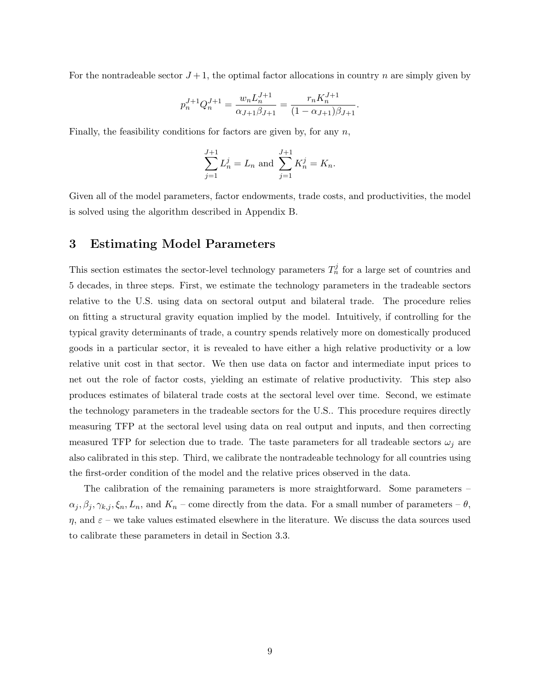For the nontradeable sector  $J+1$ , the optimal factor allocations in country n are simply given by

$$
p_n^{J+1} Q_n^{J+1} = \frac{w_n L_n^{J+1}}{\alpha_{J+1} \beta_{J+1}} = \frac{r_n K_n^{J+1}}{(1 - \alpha_{J+1}) \beta_{J+1}}.
$$

Finally, the feasibility conditions for factors are given by, for any  $n$ ,

$$
\sum_{j=1}^{J+1} L_n^j = L_n \text{ and } \sum_{j=1}^{J+1} K_n^j = K_n.
$$

Given all of the model parameters, factor endowments, trade costs, and productivities, the model is solved using the algorithm described in Appendix B.

## 3 Estimating Model Parameters

This section estimates the sector-level technology parameters  $T_n^j$  for a large set of countries and 5 decades, in three steps. First, we estimate the technology parameters in the tradeable sectors relative to the U.S. using data on sectoral output and bilateral trade. The procedure relies on fitting a structural gravity equation implied by the model. Intuitively, if controlling for the typical gravity determinants of trade, a country spends relatively more on domestically produced goods in a particular sector, it is revealed to have either a high relative productivity or a low relative unit cost in that sector. We then use data on factor and intermediate input prices to net out the role of factor costs, yielding an estimate of relative productivity. This step also produces estimates of bilateral trade costs at the sectoral level over time. Second, we estimate the technology parameters in the tradeable sectors for the U.S.. This procedure requires directly measuring TFP at the sectoral level using data on real output and inputs, and then correcting measured TFP for selection due to trade. The taste parameters for all tradeable sectors  $\omega_i$  are also calibrated in this step. Third, we calibrate the nontradeable technology for all countries using the first-order condition of the model and the relative prices observed in the data.

The calibration of the remaining parameters is more straightforward. Some parameters –  $\alpha_j, \beta_j, \gamma_{k,j}, \xi_n, L_n$ , and  $K_n$  – come directly from the data. For a small number of parameters –  $\theta$ ,  $\eta$ , and  $\varepsilon$  – we take values estimated elsewhere in the literature. We discuss the data sources used to calibrate these parameters in detail in Section 3.3.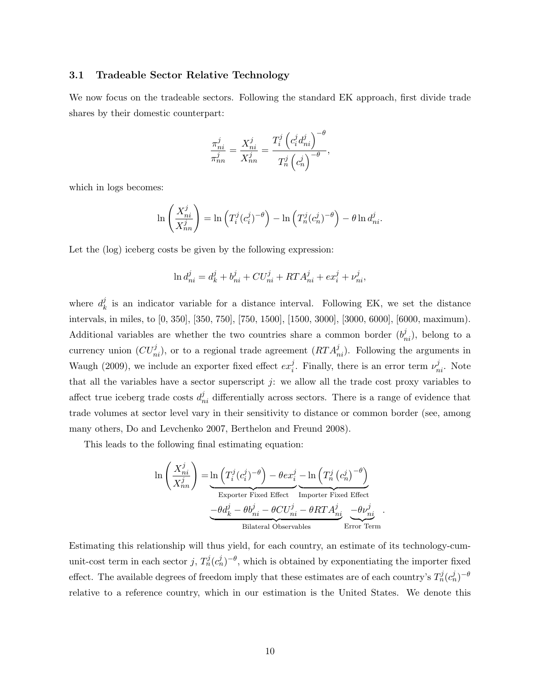### 3.1 Tradeable Sector Relative Technology

We now focus on the tradeable sectors. Following the standard EK approach, first divide trade shares by their domestic counterpart:

$$
\frac{\pi_{ni}^j}{\pi_{nn}^j} = \frac{X_{ni}^j}{X_{nn}^j} = \frac{T_i^j \left(c_i^j d_{ni}^j\right)^{-\theta}}{T_n^j \left(c_n^j\right)^{-\theta}},
$$

which in logs becomes:

$$
\ln\left(\frac{X_{ni}^j}{X_{nn}^j}\right) = \ln\left(T_i^j(c_i^j)^{-\theta}\right) - \ln\left(T_n^j(c_n^j)^{-\theta}\right) - \theta \ln d_{ni}^j.
$$

Let the (log) iceberg costs be given by the following expression:

$$
\ln d_{ni}^j = d_k^j + b_{ni}^j + C U_{ni}^j + RT A_{ni}^j + e x_i^j + \nu_{ni}^j,
$$

where  $d_k^j$  $\mu_k^j$  is an indicator variable for a distance interval. Following EK, we set the distance intervals, in miles, to [0, 350], [350, 750], [750, 1500], [1500, 3000], [3000, 6000], [6000, maximum). Additional variables are whether the two countries share a common border  $(b_{ni}^j)$ , belong to a currency union  $(CU_{ni}^j)$ , or to a regional trade agreement  $(RTA_{ni}^j)$ . Following the arguments in Waugh (2009), we include an exporter fixed effect  $ex_i^j$  $i$ . Finally, there is an error term  $\nu_{ni}^{j}$ . Note that all the variables have a sector superscript  $j$ : we allow all the trade cost proxy variables to affect true iceberg trade costs  $d_{ni}^j$  differentially across sectors. There is a range of evidence that trade volumes at sector level vary in their sensitivity to distance or common border (see, among many others, Do and Levchenko 2007, Berthelon and Freund 2008).

This leads to the following final estimating equation:

$$
\ln\left(\frac{X_{ni}^j}{X_{nn}^j}\right) = \underbrace{\ln\left(T_i^j(c_i^j)^{-\theta}\right) - \theta ex_i^j}_{\text{Expert Fixed Effect}} - \underbrace{\ln\left(T_n^j(c_n^j)^{-\theta}\right)}_{\text{Importer Fixed Effect}}
$$

$$
\underbrace{-\theta d_k^j - \theta b_{ni}^j - \theta C U_{ni}^j - \theta RT A_{ni}^j}_{\text{Bilateral Observables}} - \underbrace{\theta \nu_{ni}^j}_{\text{Error Term}}.
$$

Estimating this relationship will thus yield, for each country, an estimate of its technology-cumunit-cost term in each sector j,  $T_n^j(c_n^j)^{-\theta}$ , which is obtained by exponentiating the importer fixed effect. The available degrees of freedom imply that these estimates are of each country's  $T_n^j(c_n^j)^{-\theta}$ relative to a reference country, which in our estimation is the United States. We denote this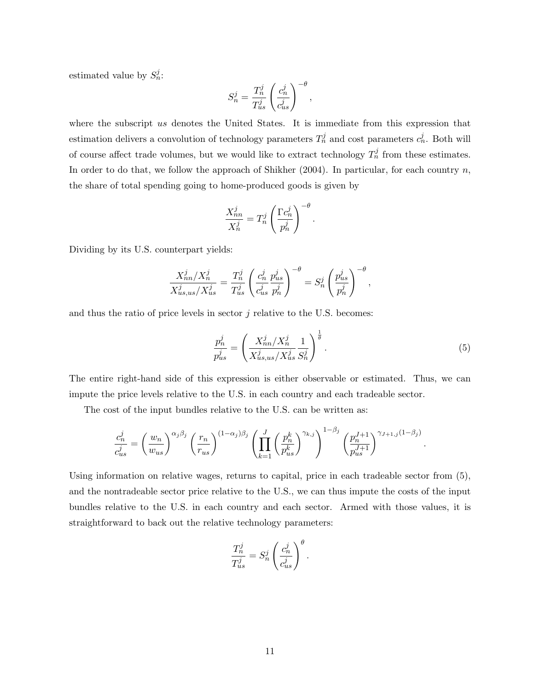estimated value by  $S_n^j$ :

$$
S_n^j = \frac{T_n^j}{T_{us}^j} \left(\frac{c_n^j}{c_{us}^j}\right)^{-\theta},
$$

where the subscript us denotes the United States. It is immediate from this expression that estimation delivers a convolution of technology parameters  $T_n^j$  and cost parameters  $c_n^j$ . Both will of course affect trade volumes, but we would like to extract technology  $T_n^j$  from these estimates. In order to do that, we follow the approach of Shikher  $(2004)$ . In particular, for each country n, the share of total spending going to home-produced goods is given by

$$
\frac{X_{nn}^j}{X_n^j} = T_n^j \left(\frac{\Gamma c_n^j}{p_n^j}\right)^{-\theta}.
$$

Dividing by its U.S. counterpart yields:

$$
\frac{X_{nn}^j/X_n^j}{X_{us,us}^j/X_{us}^j} = \frac{T_n^j}{T_{us}^j} \left(\frac{c_n^j}{c_{us}^j} \frac{p_{us}^j}{p_n^j}\right)^{-\theta} = S_n^j \left(\frac{p_{us}^j}{p_n^j}\right)^{-\theta},
$$

and thus the ratio of price levels in sector  $j$  relative to the U.S. becomes:

$$
\frac{p_n^j}{p_{us}^j} = \left(\frac{X_{nn}^j/X_{n}^j}{X_{us,us}^j/X_{us}^j}\frac{1}{S_n^j}\right)^{\frac{1}{\theta}}.\tag{5}
$$

.

The entire right-hand side of this expression is either observable or estimated. Thus, we can impute the price levels relative to the U.S. in each country and each tradeable sector.

The cost of the input bundles relative to the U.S. can be written as:

$$
\frac{c_n^j}{c_{us}^j} = \left(\frac{w_n}{w_{us}}\right)^{\alpha_j \beta_j} \left(\frac{r_n}{r_{us}}\right)^{(1-\alpha_j)\beta_j} \left(\prod_{k=1}^J \left(\frac{p_n^k}{p_{us}^k}\right)^{\gamma_{k,j}}\right)^{1-\beta_j} \left(\frac{p_n^{J+1}}{p_{us}^{J+1}}\right)^{\gamma_{J+1,j}(1-\beta_j)}
$$

Using information on relative wages, returns to capital, price in each tradeable sector from (5), and the nontradeable sector price relative to the U.S., we can thus impute the costs of the input bundles relative to the U.S. in each country and each sector. Armed with those values, it is straightforward to back out the relative technology parameters:

$$
\frac{T_n^j}{T_{us}^j} = S_n^j \left(\frac{c_n^j}{c_{us}^j}\right)^{\theta}.
$$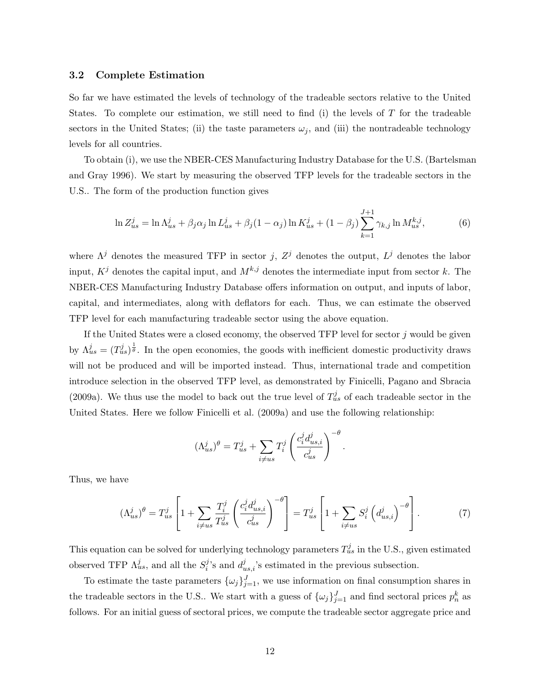#### 3.2 Complete Estimation

So far we have estimated the levels of technology of the tradeable sectors relative to the United States. To complete our estimation, we still need to find (i) the levels of  $T$  for the tradeable sectors in the United States; (ii) the taste parameters  $\omega_j$ , and (iii) the nontradeable technology levels for all countries.

To obtain (i), we use the NBER-CES Manufacturing Industry Database for the U.S. (Bartelsman and Gray 1996). We start by measuring the observed TFP levels for the tradeable sectors in the U.S.. The form of the production function gives

$$
\ln Z_{us}^j = \ln \Lambda_{us}^j + \beta_j \alpha_j \ln L_{us}^j + \beta_j (1 - \alpha_j) \ln K_{us}^j + (1 - \beta_j) \sum_{k=1}^{J+1} \gamma_{k,j} \ln M_{us}^{k,j},\tag{6}
$$

where  $\Lambda^j$  denotes the measured TFP in sector j,  $Z^j$  denotes the output,  $L^j$  denotes the labor input,  $K^j$  denotes the capital input, and  $M^{k,j}$  denotes the intermediate input from sector k. The NBER-CES Manufacturing Industry Database offers information on output, and inputs of labor, capital, and intermediates, along with deflators for each. Thus, we can estimate the observed TFP level for each manufacturing tradeable sector using the above equation.

If the United States were a closed economy, the observed TFP level for sector  $j$  would be given by  $\Lambda_{us}^j = (T_{us}^j)^{\frac{1}{\theta}}$ . In the open economies, the goods with inefficient domestic productivity draws will not be produced and will be imported instead. Thus, international trade and competition introduce selection in the observed TFP level, as demonstrated by Finicelli, Pagano and Sbracia (2009a). We thus use the model to back out the true level of  $T_{us}^j$  of each tradeable sector in the United States. Here we follow Finicelli et al. (2009a) and use the following relationship:

$$
(\Lambda_{us}^j)^\theta = T_{us}^j + \sum_{i \neq us} T_i^j \left( \frac{c_i^j d_{us,i}^j}{c_{us}^j} \right)^{-\theta}.
$$

Thus, we have

$$
(\Lambda_{us}^j)^\theta = T_{us}^j \left[ 1 + \sum_{i \neq us} \frac{T_i^j}{T_{us}^j} \left( \frac{c_i^j d_{us,i}^j}{c_{us}^j} \right)^{-\theta} \right] = T_{us}^j \left[ 1 + \sum_{i \neq us} S_i^j \left( d_{us,i}^j \right)^{-\theta} \right].
$$
 (7)

This equation can be solved for underlying technology parameters  $T_{us}^j$  in the U.S., given estimated observed TFP  $\Lambda_{us}^j$ , and all the  $S_i^j$  $i^{j}$ 's and  $d_{us,i}^{j}$ 's estimated in the previous subsection.

To estimate the taste parameters  $\{\omega_j\}_{j=1}^J$ , we use information on final consumption shares in the tradeable sectors in the U.S.. We start with a guess of  $\{\omega_j\}_{j=1}^J$  and find sectoral prices  $p_n^k$  as follows. For an initial guess of sectoral prices, we compute the tradeable sector aggregate price and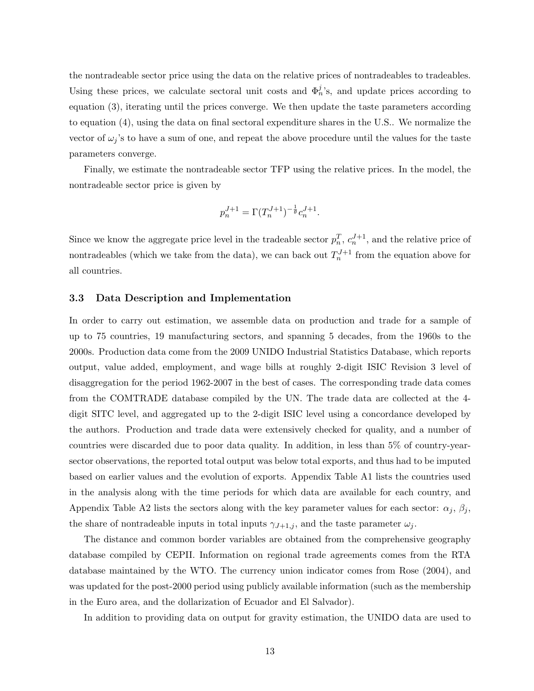the nontradeable sector price using the data on the relative prices of nontradeables to tradeables. Using these prices, we calculate sectoral unit costs and  $\Phi_n^j$ 's, and update prices according to equation (3), iterating until the prices converge. We then update the taste parameters according to equation (4), using the data on final sectoral expenditure shares in the U.S.. We normalize the vector of  $\omega_i$ 's to have a sum of one, and repeat the above procedure until the values for the taste parameters converge.

Finally, we estimate the nontradeable sector TFP using the relative prices. In the model, the nontradeable sector price is given by

$$
p_n^{J+1} = \Gamma(T_n^{J+1})^{-\frac{1}{\theta}} c_n^{J+1}.
$$

Since we know the aggregate price level in the tradeable sector  $p_n^T, c_n^{J+1}$ , and the relative price of nontradeables (which we take from the data), we can back out  $T_n^{J+1}$  from the equation above for all countries.

### 3.3 Data Description and Implementation

In order to carry out estimation, we assemble data on production and trade for a sample of up to 75 countries, 19 manufacturing sectors, and spanning 5 decades, from the 1960s to the 2000s. Production data come from the 2009 UNIDO Industrial Statistics Database, which reports output, value added, employment, and wage bills at roughly 2-digit ISIC Revision 3 level of disaggregation for the period 1962-2007 in the best of cases. The corresponding trade data comes from the COMTRADE database compiled by the UN. The trade data are collected at the 4 digit SITC level, and aggregated up to the 2-digit ISIC level using a concordance developed by the authors. Production and trade data were extensively checked for quality, and a number of countries were discarded due to poor data quality. In addition, in less than 5% of country-yearsector observations, the reported total output was below total exports, and thus had to be imputed based on earlier values and the evolution of exports. Appendix Table A1 lists the countries used in the analysis along with the time periods for which data are available for each country, and Appendix Table A2 lists the sectors along with the key parameter values for each sector:  $\alpha_j$ ,  $\beta_j$ , the share of nontradeable inputs in total inputs  $\gamma_{J+1,j}$ , and the taste parameter  $\omega_j$ .

The distance and common border variables are obtained from the comprehensive geography database compiled by CEPII. Information on regional trade agreements comes from the RTA database maintained by the WTO. The currency union indicator comes from Rose (2004), and was updated for the post-2000 period using publicly available information (such as the membership in the Euro area, and the dollarization of Ecuador and El Salvador).

In addition to providing data on output for gravity estimation, the UNIDO data are used to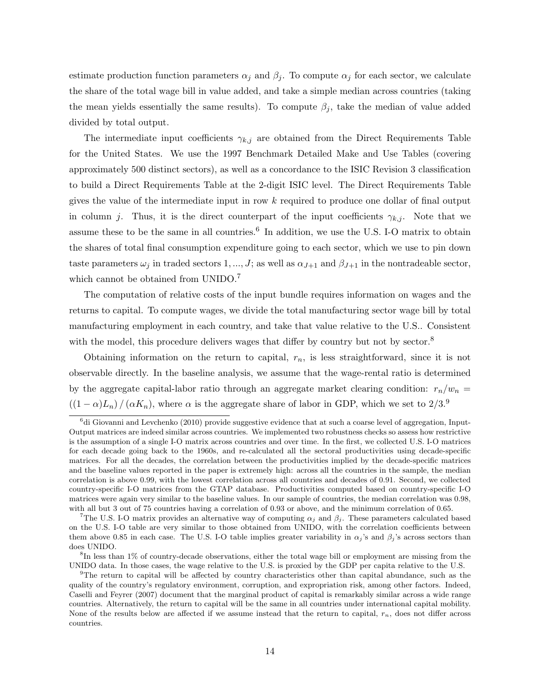estimate production function parameters  $\alpha_j$  and  $\beta_j$ . To compute  $\alpha_j$  for each sector, we calculate the share of the total wage bill in value added, and take a simple median across countries (taking the mean yields essentially the same results). To compute  $\beta_i$ , take the median of value added divided by total output.

The intermediate input coefficients  $\gamma_{k,j}$  are obtained from the Direct Requirements Table for the United States. We use the 1997 Benchmark Detailed Make and Use Tables (covering approximately 500 distinct sectors), as well as a concordance to the ISIC Revision 3 classification to build a Direct Requirements Table at the 2-digit ISIC level. The Direct Requirements Table gives the value of the intermediate input in row  $k$  required to produce one dollar of final output in column j. Thus, it is the direct counterpart of the input coefficients  $\gamma_{k,i}$ . Note that we assume these to be the same in all countries.<sup>6</sup> In addition, we use the U.S. I-O matrix to obtain the shares of total final consumption expenditure going to each sector, which we use to pin down taste parameters  $\omega_i$  in traded sectors 1, ..., J; as well as  $\alpha_{J+1}$  and  $\beta_{J+1}$  in the nontradeable sector, which cannot be obtained from UNIDO.<sup>7</sup>

The computation of relative costs of the input bundle requires information on wages and the returns to capital. To compute wages, we divide the total manufacturing sector wage bill by total manufacturing employment in each country, and take that value relative to the U.S.. Consistent with the model, this procedure delivers wages that differ by country but not by sector.<sup>8</sup>

Obtaining information on the return to capital,  $r_n$ , is less straightforward, since it is not observable directly. In the baseline analysis, we assume that the wage-rental ratio is determined by the aggregate capital-labor ratio through an aggregate market clearing condition:  $r_n/w_n =$  $((1 - \alpha)L_n)/(\alpha K_n)$ , where  $\alpha$  is the aggregate share of labor in GDP, which we set to  $2/3$ .<sup>9</sup>

 $6d$ i Giovanni and Levchenko (2010) provide suggestive evidence that at such a coarse level of aggregation, Input-Output matrices are indeed similar across countries. We implemented two robustness checks so assess how restrictive is the assumption of a single I-O matrix across countries and over time. In the first, we collected U.S. I-O matrices for each decade going back to the 1960s, and re-calculated all the sectoral productivities using decade-specific matrices. For all the decades, the correlation between the productivities implied by the decade-specific matrices and the baseline values reported in the paper is extremely high: across all the countries in the sample, the median correlation is above 0.99, with the lowest correlation across all countries and decades of 0.91. Second, we collected country-specific I-O matrices from the GTAP database. Productivities computed based on country-specific I-O matrices were again very similar to the baseline values. In our sample of countries, the median correlation was 0.98, with all but 3 out of 75 countries having a correlation of 0.93 or above, and the minimum correlation of 0.65.

<sup>&</sup>lt;sup>7</sup>The U.S. I-O matrix provides an alternative way of computing  $\alpha_i$  and  $\beta_i$ . These parameters calculated based on the U.S. I-O table are very similar to those obtained from UNIDO, with the correlation coefficients between them above 0.85 in each case. The U.S. I-O table implies greater variability in  $\alpha_j$ 's and  $\beta_j$ 's across sectors than does UNIDO.

<sup>&</sup>lt;sup>8</sup>In less than 1% of country-decade observations, either the total wage bill or employment are missing from the UNIDO data. In those cases, the wage relative to the U.S. is proxied by the GDP per capita relative to the U.S.

<sup>&</sup>lt;sup>9</sup>The return to capital will be affected by country characteristics other than capital abundance, such as the quality of the country's regulatory environment, corruption, and expropriation risk, among other factors. Indeed, Caselli and Feyrer (2007) document that the marginal product of capital is remarkably similar across a wide range countries. Alternatively, the return to capital will be the same in all countries under international capital mobility. None of the results below are affected if we assume instead that the return to capital,  $r_n$ , does not differ across countries.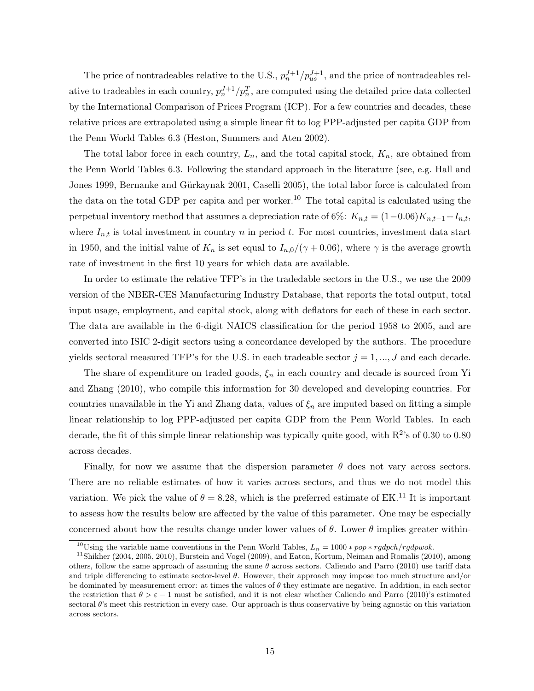The price of nontradeables relative to the U.S.,  $p_n^{J+1}/p_{us}^{J+1}$ , and the price of nontradeables relative to tradeables in each country,  $p_n^{J+1}/p_n^T$ , are computed using the detailed price data collected by the International Comparison of Prices Program (ICP). For a few countries and decades, these relative prices are extrapolated using a simple linear fit to log PPP-adjusted per capita GDP from the Penn World Tables 6.3 (Heston, Summers and Aten 2002).

The total labor force in each country,  $L_n$ , and the total capital stock,  $K_n$ , are obtained from the Penn World Tables 6.3. Following the standard approach in the literature (see, e.g. Hall and Jones 1999, Bernanke and Gürkaynak 2001, Caselli 2005), the total labor force is calculated from the data on the total GDP per capita and per worker.<sup>10</sup> The total capital is calculated using the perpetual inventory method that assumes a depreciation rate of 6%:  $K_{n,t} = (1-0.06)K_{n,t-1}+I_{n,t}$ , where  $I_{n,t}$  is total investment in country n in period t. For most countries, investment data start in 1950, and the initial value of  $K_n$  is set equal to  $I_{n,0}/(\gamma + 0.06)$ , where  $\gamma$  is the average growth rate of investment in the first 10 years for which data are available.

In order to estimate the relative TFP's in the tradedable sectors in the U.S., we use the 2009 version of the NBER-CES Manufacturing Industry Database, that reports the total output, total input usage, employment, and capital stock, along with deflators for each of these in each sector. The data are available in the 6-digit NAICS classification for the period 1958 to 2005, and are converted into ISIC 2-digit sectors using a concordance developed by the authors. The procedure yields sectoral measured TFP's for the U.S. in each tradeable sector  $j = 1, ..., J$  and each decade.

The share of expenditure on traded goods,  $\xi_n$  in each country and decade is sourced from Yi and Zhang (2010), who compile this information for 30 developed and developing countries. For countries unavailable in the Yi and Zhang data, values of  $\xi_n$  are imputed based on fitting a simple linear relationship to log PPP-adjusted per capita GDP from the Penn World Tables. In each decade, the fit of this simple linear relationship was typically quite good, with  $R^2$ 's of 0.30 to 0.80 across decades.

Finally, for now we assume that the dispersion parameter  $\theta$  does not vary across sectors. There are no reliable estimates of how it varies across sectors, and thus we do not model this variation. We pick the value of  $\theta = 8.28$ , which is the preferred estimate of EK.<sup>11</sup> It is important to assess how the results below are affected by the value of this parameter. One may be especially concerned about how the results change under lower values of  $\theta$ . Lower  $\theta$  implies greater within-

<sup>&</sup>lt;sup>10</sup>Using the variable name conventions in the Penn World Tables,  $L_n = 1000 * pop * rgdpch/rgdpwok.$ 

<sup>&</sup>lt;sup>11</sup>Shikher (2004, 2005, 2010), Burstein and Vogel (2009), and Eaton, Kortum, Neiman and Romalis (2010), among others, follow the same approach of assuming the same  $\theta$  across sectors. Caliendo and Parro (2010) use tariff data and triple differencing to estimate sector-level  $\theta$ . However, their approach may impose too much structure and/or be dominated by measurement error: at times the values of  $\theta$  they estimate are negative. In addition, in each sector the restriction that  $\theta > \varepsilon - 1$  must be satisfied, and it is not clear whether Caliendo and Parro (2010)'s estimated sectoral  $\theta$ 's meet this restriction in every case. Our approach is thus conservative by being agnostic on this variation across sectors.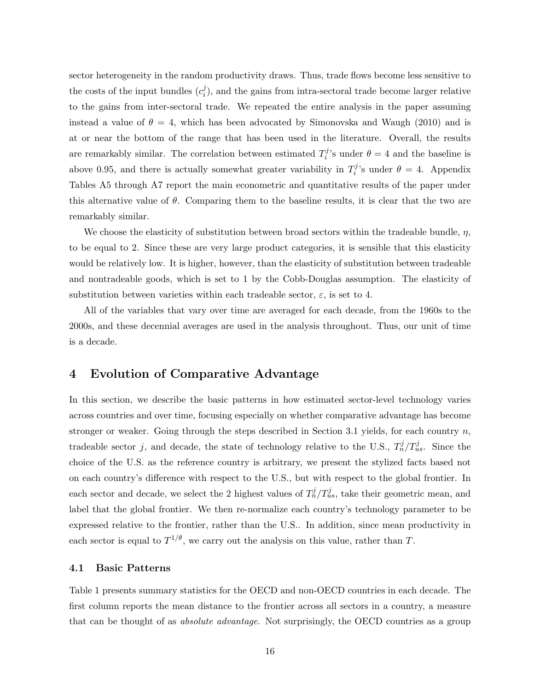sector heterogeneity in the random productivity draws. Thus, trade flows become less sensitive to the costs of the input bundles  $(c_i^j)$  $i_j$ , and the gains from intra-sectoral trade become larger relative to the gains from inter-sectoral trade. We repeated the entire analysis in the paper assuming instead a value of  $\theta = 4$ , which has been advocated by Simonovska and Waugh (2010) and is at or near the bottom of the range that has been used in the literature. Overall, the results are remarkably similar. The correlation between estimated  $T_i^j$ <sup>1</sup>/<sub>i</sub>'s under  $\theta = 4$  and the baseline is above 0.95, and there is actually somewhat greater variability in  $T_i^j$ <sup>1</sup>/<sub>i</sub>'s under  $\theta = 4$ . Appendix Tables A5 through A7 report the main econometric and quantitative results of the paper under this alternative value of  $\theta$ . Comparing them to the baseline results, it is clear that the two are remarkably similar.

We choose the elasticity of substitution between broad sectors within the tradeable bundle,  $\eta$ , to be equal to 2. Since these are very large product categories, it is sensible that this elasticity would be relatively low. It is higher, however, than the elasticity of substitution between tradeable and nontradeable goods, which is set to 1 by the Cobb-Douglas assumption. The elasticity of substitution between varieties within each tradeable sector,  $\varepsilon$ , is set to 4.

All of the variables that vary over time are averaged for each decade, from the 1960s to the 2000s, and these decennial averages are used in the analysis throughout. Thus, our unit of time is a decade.

# 4 Evolution of Comparative Advantage

In this section, we describe the basic patterns in how estimated sector-level technology varies across countries and over time, focusing especially on whether comparative advantage has become stronger or weaker. Going through the steps described in Section 3.1 yields, for each country  $n$ , tradeable sector j, and decade, the state of technology relative to the U.S.,  $T_n^j/T_{us}^j$ . Since the choice of the U.S. as the reference country is arbitrary, we present the stylized facts based not on each country's difference with respect to the U.S., but with respect to the global frontier. In each sector and decade, we select the 2 highest values of  $T_n^j/T_{us}^j$ , take their geometric mean, and label that the global frontier. We then re-normalize each country's technology parameter to be expressed relative to the frontier, rather than the U.S.. In addition, since mean productivity in each sector is equal to  $T^{1/\theta}$ , we carry out the analysis on this value, rather than T.

## 4.1 Basic Patterns

Table 1 presents summary statistics for the OECD and non-OECD countries in each decade. The first column reports the mean distance to the frontier across all sectors in a country, a measure that can be thought of as *absolute advantage*. Not surprisingly, the OECD countries as a group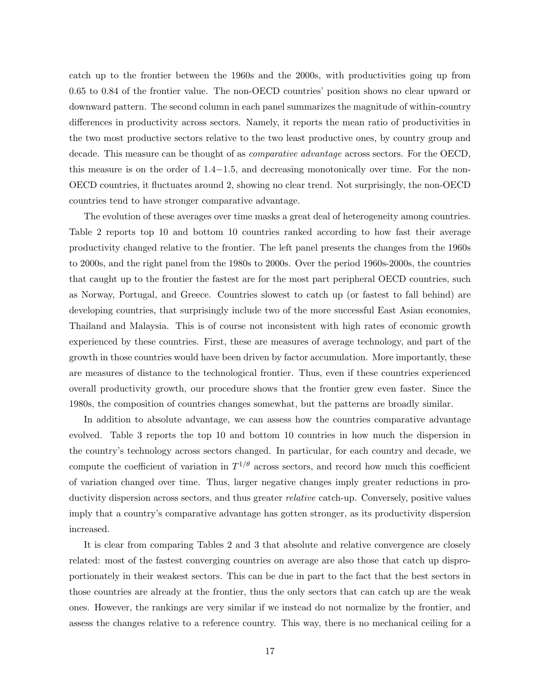catch up to the frontier between the 1960s and the 2000s, with productivities going up from 0.65 to 0.84 of the frontier value. The non-OECD countries' position shows no clear upward or downward pattern. The second column in each panel summarizes the magnitude of within-country differences in productivity across sectors. Namely, it reports the mean ratio of productivities in the two most productive sectors relative to the two least productive ones, by country group and decade. This measure can be thought of as *comparative advantage* across sectors. For the OECD, this measure is on the order of 1.4−1.5, and decreasing monotonically over time. For the non-OECD countries, it fluctuates around 2, showing no clear trend. Not surprisingly, the non-OECD countries tend to have stronger comparative advantage.

The evolution of these averages over time masks a great deal of heterogeneity among countries. Table 2 reports top 10 and bottom 10 countries ranked according to how fast their average productivity changed relative to the frontier. The left panel presents the changes from the 1960s to 2000s, and the right panel from the 1980s to 2000s. Over the period 1960s-2000s, the countries that caught up to the frontier the fastest are for the most part peripheral OECD countries, such as Norway, Portugal, and Greece. Countries slowest to catch up (or fastest to fall behind) are developing countries, that surprisingly include two of the more successful East Asian economies, Thailand and Malaysia. This is of course not inconsistent with high rates of economic growth experienced by these countries. First, these are measures of average technology, and part of the growth in those countries would have been driven by factor accumulation. More importantly, these are measures of distance to the technological frontier. Thus, even if these countries experienced overall productivity growth, our procedure shows that the frontier grew even faster. Since the 1980s, the composition of countries changes somewhat, but the patterns are broadly similar.

In addition to absolute advantage, we can assess how the countries comparative advantage evolved. Table 3 reports the top 10 and bottom 10 countries in how much the dispersion in the country's technology across sectors changed. In particular, for each country and decade, we compute the coefficient of variation in  $T^{1/\theta}$  across sectors, and record how much this coefficient of variation changed over time. Thus, larger negative changes imply greater reductions in productivity dispersion across sectors, and thus greater *relative* catch-up. Conversely, positive values imply that a country's comparative advantage has gotten stronger, as its productivity dispersion increased.

It is clear from comparing Tables 2 and 3 that absolute and relative convergence are closely related: most of the fastest converging countries on average are also those that catch up disproportionately in their weakest sectors. This can be due in part to the fact that the best sectors in those countries are already at the frontier, thus the only sectors that can catch up are the weak ones. However, the rankings are very similar if we instead do not normalize by the frontier, and assess the changes relative to a reference country. This way, there is no mechanical ceiling for a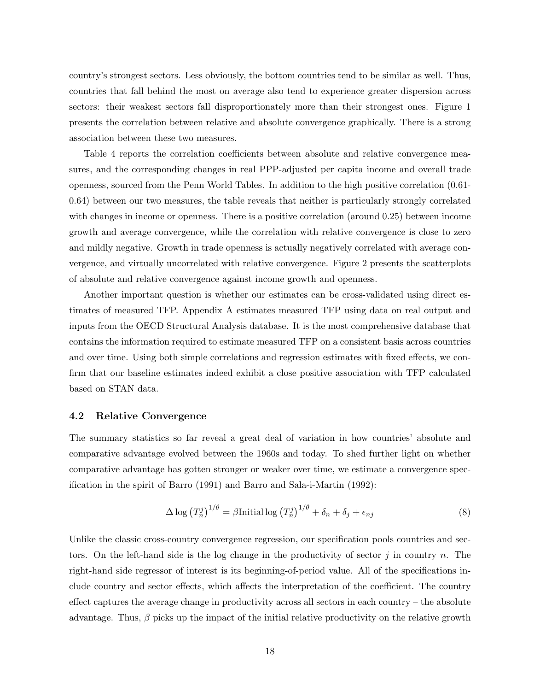country's strongest sectors. Less obviously, the bottom countries tend to be similar as well. Thus, countries that fall behind the most on average also tend to experience greater dispersion across sectors: their weakest sectors fall disproportionately more than their strongest ones. Figure 1 presents the correlation between relative and absolute convergence graphically. There is a strong association between these two measures.

Table 4 reports the correlation coefficients between absolute and relative convergence measures, and the corresponding changes in real PPP-adjusted per capita income and overall trade openness, sourced from the Penn World Tables. In addition to the high positive correlation (0.61- 0.64) between our two measures, the table reveals that neither is particularly strongly correlated with changes in income or openness. There is a positive correlation (around 0.25) between income growth and average convergence, while the correlation with relative convergence is close to zero and mildly negative. Growth in trade openness is actually negatively correlated with average convergence, and virtually uncorrelated with relative convergence. Figure 2 presents the scatterplots of absolute and relative convergence against income growth and openness.

Another important question is whether our estimates can be cross-validated using direct estimates of measured TFP. Appendix A estimates measured TFP using data on real output and inputs from the OECD Structural Analysis database. It is the most comprehensive database that contains the information required to estimate measured TFP on a consistent basis across countries and over time. Using both simple correlations and regression estimates with fixed effects, we confirm that our baseline estimates indeed exhibit a close positive association with TFP calculated based on STAN data.

### 4.2 Relative Convergence

The summary statistics so far reveal a great deal of variation in how countries' absolute and comparative advantage evolved between the 1960s and today. To shed further light on whether comparative advantage has gotten stronger or weaker over time, we estimate a convergence specification in the spirit of Barro (1991) and Barro and Sala-i-Martin (1992):

$$
\Delta \log (T_n^j)^{1/\theta} = \beta \text{Initial} \log (T_n^j)^{1/\theta} + \delta_n + \delta_j + \epsilon_{nj} \tag{8}
$$

Unlike the classic cross-country convergence regression, our specification pools countries and sectors. On the left-hand side is the log change in the productivity of sector  $j$  in country  $n$ . The right-hand side regressor of interest is its beginning-of-period value. All of the specifications include country and sector effects, which affects the interpretation of the coefficient. The country effect captures the average change in productivity across all sectors in each country – the absolute advantage. Thus,  $\beta$  picks up the impact of the initial relative productivity on the relative growth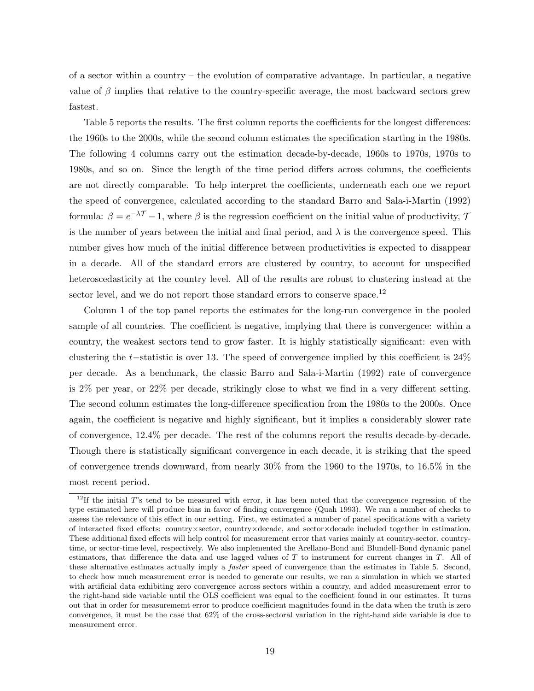of a sector within a country – the evolution of comparative advantage. In particular, a negative value of  $\beta$  implies that relative to the country-specific average, the most backward sectors grew fastest.

Table 5 reports the results. The first column reports the coefficients for the longest differences: the 1960s to the 2000s, while the second column estimates the specification starting in the 1980s. The following 4 columns carry out the estimation decade-by-decade, 1960s to 1970s, 1970s to 1980s, and so on. Since the length of the time period differs across columns, the coefficients are not directly comparable. To help interpret the coefficients, underneath each one we report the speed of convergence, calculated according to the standard Barro and Sala-i-Martin (1992) formula:  $\beta = e^{-\lambda \mathcal{T}} - 1$ , where  $\beta$  is the regression coefficient on the initial value of productivity,  $\mathcal{T}$ is the number of years between the initial and final period, and  $\lambda$  is the convergence speed. This number gives how much of the initial difference between productivities is expected to disappear in a decade. All of the standard errors are clustered by country, to account for unspecified heteroscedasticity at the country level. All of the results are robust to clustering instead at the sector level, and we do not report those standard errors to conserve space.<sup>12</sup>

Column 1 of the top panel reports the estimates for the long-run convergence in the pooled sample of all countries. The coefficient is negative, implying that there is convergence: within a country, the weakest sectors tend to grow faster. It is highly statistically significant: even with clustering the t−statistic is over 13. The speed of convergence implied by this coefficient is 24% per decade. As a benchmark, the classic Barro and Sala-i-Martin (1992) rate of convergence is 2% per year, or 22% per decade, strikingly close to what we find in a very different setting. The second column estimates the long-difference specification from the 1980s to the 2000s. Once again, the coefficient is negative and highly significant, but it implies a considerably slower rate of convergence, 12.4% per decade. The rest of the columns report the results decade-by-decade. Though there is statistically significant convergence in each decade, it is striking that the speed of convergence trends downward, from nearly 30% from the 1960 to the 1970s, to 16.5% in the most recent period.

<sup>&</sup>lt;sup>12</sup>If the initial T's tend to be measured with error, it has been noted that the convergence regression of the type estimated here will produce bias in favor of finding convergence (Quah 1993). We ran a number of checks to assess the relevance of this effect in our setting. First, we estimated a number of panel specifications with a variety of interacted fixed effects: country×sector, country×decade, and sector×decade included together in estimation. These additional fixed effects will help control for measurement error that varies mainly at country-sector, countrytime, or sector-time level, respectively. We also implemented the Arellano-Bond and Blundell-Bond dynamic panel estimators, that difference the data and use lagged values of  $T$  to instrument for current changes in  $T$ . All of these alternative estimates actually imply a faster speed of convergence than the estimates in Table 5. Second, to check how much measurement error is needed to generate our results, we ran a simulation in which we started with artificial data exhibiting zero convergence across sectors within a country, and added measurement error to the right-hand side variable until the OLS coefficient was equal to the coefficient found in our estimates. It turns out that in order for measurememt error to produce coefficient magnitudes found in the data when the truth is zero convergence, it must be the case that 62% of the cross-sectoral variation in the right-hand side variable is due to measurement error.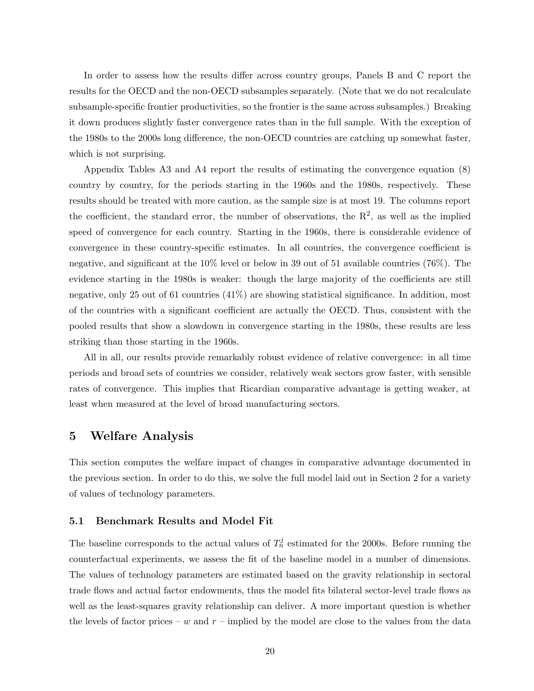In order to assess how the results differ across country groups, Panels B and C report the results for the OECD and the non-OECD subsamples separately. (Note that we do not recalculate subsample-specific frontier productivities, so the frontier is the same across subsamples.) Breaking it down produces slightly faster convergence rates than in the full sample. With the exception of the 1980s to the 2000s long difference, the non-OECD countries are catching up somewhat faster, which is not surprising.

Appendix Tables A3 and A4 report the results of estimating the convergence equation (8) country by country, for the periods starting in the 1960s and the 1980s, respectively. These results should be treated with more caution, as the sample size is at most 19. The columns report the coefficient, the standard error, the number of observations, the  $\mathbb{R}^2$ , as well as the implied speed of convergence for each country. Starting in the 1960s, there is considerable evidence of convergence in these country-specific estimates. In all countries, the convergence coefficient is negative, and significant at the 10% level or below in 39 out of 51 available countries (76%). The evidence starting in the 1980s is weaker: though the large majority of the coefficients are still negative, only 25 out of 61 countries (41%) are showing statistical significance. In addition, most of the countries with a significant coefficient are actually the OECD. Thus, consistent with the pooled results that show a slowdown in convergence starting in the 1980s, these results are less striking than those starting in the 1960s.

All in all, our results provide remarkably robust evidence of relative convergence: in all time periods and broad sets of countries we consider, relatively weak sectors grow faster, with sensible rates of convergence. This implies that Ricardian comparative advantage is getting weaker, at least when measured at the level of broad manufacturing sectors.

# 5 Welfare Analysis

This section computes the welfare impact of changes in comparative advantage documented in the previous section. In order to do this, we solve the full model laid out in Section 2 for a variety of values of technology parameters.

### 5.1 Benchmark Results and Model Fit

The baseline corresponds to the actual values of  $T_n^j$  estimated for the 2000s. Before running the counterfactual experiments, we assess the fit of the baseline model in a number of dimensions. The values of technology parameters are estimated based on the gravity relationship in sectoral trade flows and actual factor endowments, thus the model fits bilateral sector-level trade flows as well as the least-squares gravity relationship can deliver. A more important question is whether the levels of factor prices – w and  $r$  – implied by the model are close to the values from the data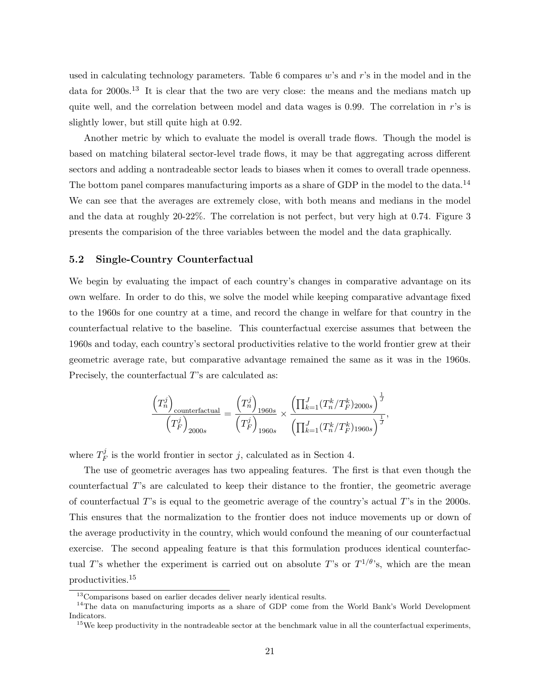used in calculating technology parameters. Table 6 compares  $w$ 's and  $r$ 's in the model and in the data for 2000s.<sup>13</sup> It is clear that the two are very close: the means and the medians match up quite well, and the correlation between model and data wages is 0.99. The correlation in  $r$ 's is slightly lower, but still quite high at 0.92.

Another metric by which to evaluate the model is overall trade flows. Though the model is based on matching bilateral sector-level trade flows, it may be that aggregating across different sectors and adding a nontradeable sector leads to biases when it comes to overall trade openness. The bottom panel compares manufacturing imports as a share of GDP in the model to the data.<sup>14</sup> We can see that the averages are extremely close, with both means and medians in the model and the data at roughly 20-22%. The correlation is not perfect, but very high at 0.74. Figure 3 presents the comparision of the three variables between the model and the data graphically.

### 5.2 Single-Country Counterfactual

We begin by evaluating the impact of each country's changes in comparative advantage on its own welfare. In order to do this, we solve the model while keeping comparative advantage fixed to the 1960s for one country at a time, and record the change in welfare for that country in the counterfactual relative to the baseline. This counterfactual exercise assumes that between the 1960s and today, each country's sectoral productivities relative to the world frontier grew at their geometric average rate, but comparative advantage remained the same as it was in the 1960s. Precisely, the counterfactual T's are calculated as:

$$
\frac{\left(T_n^j\right)_{\text{counterfactual}}}{\left(T_F^j\right)_{2000s}} = \frac{\left(T_n^j\right)_{1960s}}{\left(T_F^j\right)_{1960s}} \times \frac{\left(\prod_{k=1}^J (T_n^k/T_F^k)_{2000s}\right)^{\frac{1}{J}}}{\left(\prod_{k=1}^J (T_n^k/T_F^k)_{1960s}\right)^{\frac{1}{J}}},
$$

where  $T_F^j$  $\frac{d^j}{dF}$  is the world frontier in sector j, calculated as in Section 4.

The use of geometric averages has two appealing features. The first is that even though the counterfactual T's are calculated to keep their distance to the frontier, the geometric average of counterfactual  $T$ 's is equal to the geometric average of the country's actual  $T$ 's in the 2000s. This ensures that the normalization to the frontier does not induce movements up or down of the average productivity in the country, which would confound the meaning of our counterfactual exercise. The second appealing feature is that this formulation produces identical counterfactual T's whether the experiment is carried out on absolute T's or  $T^{1/\theta}$ 's, which are the mean productivities.<sup>15</sup>

<sup>&</sup>lt;sup>13</sup>Comparisons based on earlier decades deliver nearly identical results.

<sup>&</sup>lt;sup>14</sup>The data on manufacturing imports as a share of GDP come from the World Bank's World Development Indicators.

 $15$ We keep productivity in the nontradeable sector at the benchmark value in all the counterfactual experiments,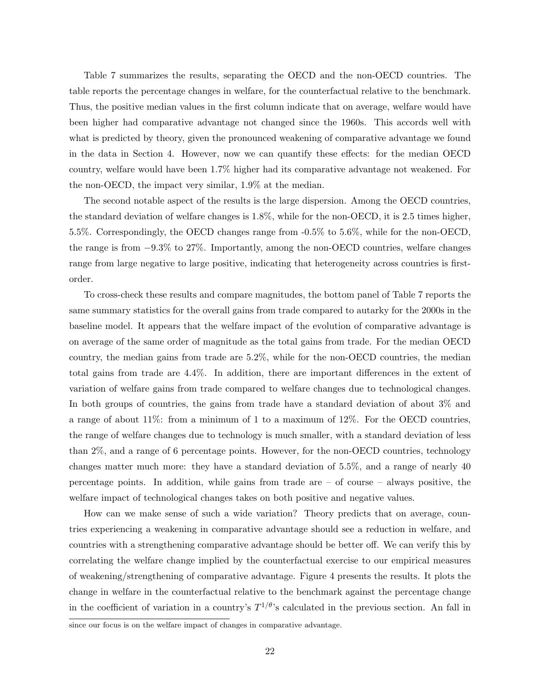Table 7 summarizes the results, separating the OECD and the non-OECD countries. The table reports the percentage changes in welfare, for the counterfactual relative to the benchmark. Thus, the positive median values in the first column indicate that on average, welfare would have been higher had comparative advantage not changed since the 1960s. This accords well with what is predicted by theory, given the pronounced weakening of comparative advantage we found in the data in Section 4. However, now we can quantify these effects: for the median OECD country, welfare would have been 1.7% higher had its comparative advantage not weakened. For the non-OECD, the impact very similar, 1.9% at the median.

The second notable aspect of the results is the large dispersion. Among the OECD countries, the standard deviation of welfare changes is 1.8%, while for the non-OECD, it is 2.5 times higher, 5.5%. Correspondingly, the OECD changes range from -0.5% to 5.6%, while for the non-OECD, the range is from −9.3% to 27%. Importantly, among the non-OECD countries, welfare changes range from large negative to large positive, indicating that heterogeneity across countries is firstorder.

To cross-check these results and compare magnitudes, the bottom panel of Table 7 reports the same summary statistics for the overall gains from trade compared to autarky for the 2000s in the baseline model. It appears that the welfare impact of the evolution of comparative advantage is on average of the same order of magnitude as the total gains from trade. For the median OECD country, the median gains from trade are 5.2%, while for the non-OECD countries, the median total gains from trade are 4.4%. In addition, there are important differences in the extent of variation of welfare gains from trade compared to welfare changes due to technological changes. In both groups of countries, the gains from trade have a standard deviation of about 3% and a range of about 11%: from a minimum of 1 to a maximum of 12%. For the OECD countries, the range of welfare changes due to technology is much smaller, with a standard deviation of less than 2%, and a range of 6 percentage points. However, for the non-OECD countries, technology changes matter much more: they have a standard deviation of 5.5%, and a range of nearly 40 percentage points. In addition, while gains from trade are  $-$  of course  $-$  always positive, the welfare impact of technological changes takes on both positive and negative values.

How can we make sense of such a wide variation? Theory predicts that on average, countries experiencing a weakening in comparative advantage should see a reduction in welfare, and countries with a strengthening comparative advantage should be better off. We can verify this by correlating the welfare change implied by the counterfactual exercise to our empirical measures of weakening/strengthening of comparative advantage. Figure 4 presents the results. It plots the change in welfare in the counterfactual relative to the benchmark against the percentage change in the coefficient of variation in a country's  $T^{1/\theta}$ 's calculated in the previous section. An fall in

since our focus is on the welfare impact of changes in comparative advantage.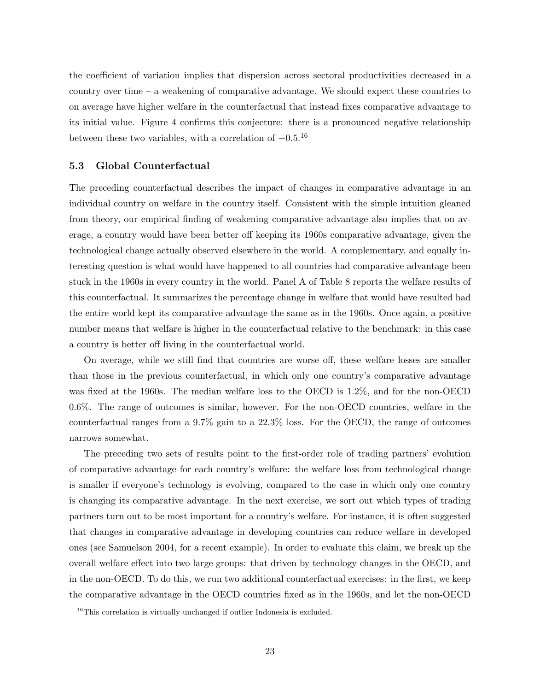the coefficient of variation implies that dispersion across sectoral productivities decreased in a country over time – a weakening of comparative advantage. We should expect these countries to on average have higher welfare in the counterfactual that instead fixes comparative advantage to its initial value. Figure 4 confirms this conjecture: there is a pronounced negative relationship between these two variables, with a correlation of  $-0.5^{16}$ 

### 5.3 Global Counterfactual

The preceding counterfactual describes the impact of changes in comparative advantage in an individual country on welfare in the country itself. Consistent with the simple intuition gleaned from theory, our empirical finding of weakening comparative advantage also implies that on average, a country would have been better off keeping its 1960s comparative advantage, given the technological change actually observed elsewhere in the world. A complementary, and equally interesting question is what would have happened to all countries had comparative advantage been stuck in the 1960s in every country in the world. Panel A of Table 8 reports the welfare results of this counterfactual. It summarizes the percentage change in welfare that would have resulted had the entire world kept its comparative advantage the same as in the 1960s. Once again, a positive number means that welfare is higher in the counterfactual relative to the benchmark: in this case a country is better off living in the counterfactual world.

On average, while we still find that countries are worse off, these welfare losses are smaller than those in the previous counterfactual, in which only one country's comparative advantage was fixed at the 1960s. The median welfare loss to the OECD is 1.2%, and for the non-OECD 0.6%. The range of outcomes is similar, however. For the non-OECD countries, welfare in the counterfactual ranges from a 9.7% gain to a 22.3% loss. For the OECD, the range of outcomes narrows somewhat.

The preceding two sets of results point to the first-order role of trading partners' evolution of comparative advantage for each country's welfare: the welfare loss from technological change is smaller if everyone's technology is evolving, compared to the case in which only one country is changing its comparative advantage. In the next exercise, we sort out which types of trading partners turn out to be most important for a country's welfare. For instance, it is often suggested that changes in comparative advantage in developing countries can reduce welfare in developed ones (see Samuelson 2004, for a recent example). In order to evaluate this claim, we break up the overall welfare effect into two large groups: that driven by technology changes in the OECD, and in the non-OECD. To do this, we run two additional counterfactual exercises: in the first, we keep the comparative advantage in the OECD countries fixed as in the 1960s, and let the non-OECD

 $16$ This correlation is virtually unchanged if outlier Indonesia is excluded.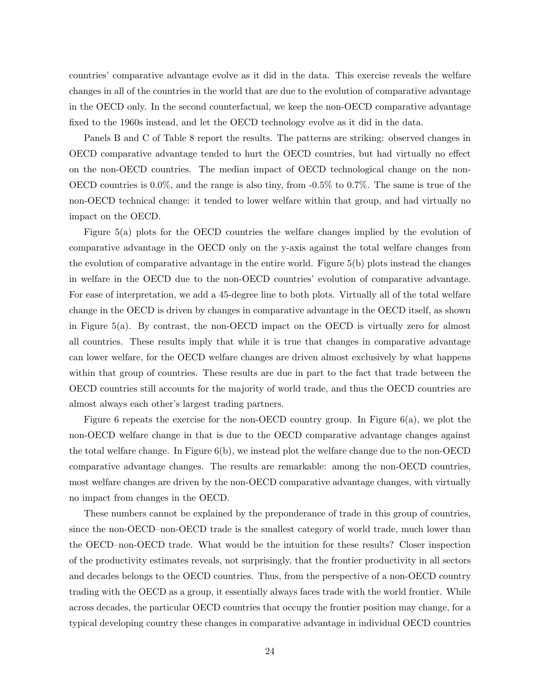countries' comparative advantage evolve as it did in the data. This exercise reveals the welfare changes in all of the countries in the world that are due to the evolution of comparative advantage in the OECD only. In the second counterfactual, we keep the non-OECD comparative advantage fixed to the 1960s instead, and let the OECD technology evolve as it did in the data.

Panels B and C of Table 8 report the results. The patterns are striking: observed changes in OECD comparative advantage tended to hurt the OECD countries, but had virtually no effect on the non-OECD countries. The median impact of OECD technological change on the non-OECD countries is 0.0%, and the range is also tiny, from -0.5% to 0.7%. The same is true of the non-OECD technical change: it tended to lower welfare within that group, and had virtually no impact on the OECD.

Figure 5(a) plots for the OECD countries the welfare changes implied by the evolution of comparative advantage in the OECD only on the y-axis against the total welfare changes from the evolution of comparative advantage in the entire world. Figure 5(b) plots instead the changes in welfare in the OECD due to the non-OECD countries' evolution of comparative advantage. For ease of interpretation, we add a 45-degree line to both plots. Virtually all of the total welfare change in the OECD is driven by changes in comparative advantage in the OECD itself, as shown in Figure 5(a). By contrast, the non-OECD impact on the OECD is virtually zero for almost all countries. These results imply that while it is true that changes in comparative advantage can lower welfare, for the OECD welfare changes are driven almost exclusively by what happens within that group of countries. These results are due in part to the fact that trade between the OECD countries still accounts for the majority of world trade, and thus the OECD countries are almost always each other's largest trading partners.

Figure 6 repeats the exercise for the non-OECD country group. In Figure 6(a), we plot the non-OECD welfare change in that is due to the OECD comparative advantage changes against the total welfare change. In Figure  $6(b)$ , we instead plot the welfare change due to the non-OECD comparative advantage changes. The results are remarkable: among the non-OECD countries, most welfare changes are driven by the non-OECD comparative advantage changes, with virtually no impact from changes in the OECD.

These numbers cannot be explained by the preponderance of trade in this group of countries, since the non-OECD–non-OECD trade is the smallest category of world trade, much lower than the OECD–non-OECD trade. What would be the intuition for these results? Closer inspection of the productivity estimates reveals, not surprisingly, that the frontier productivity in all sectors and decades belongs to the OECD countries. Thus, from the perspective of a non-OECD country trading with the OECD as a group, it essentially always faces trade with the world frontier. While across decades, the particular OECD countries that occupy the frontier position may change, for a typical developing country these changes in comparative advantage in individual OECD countries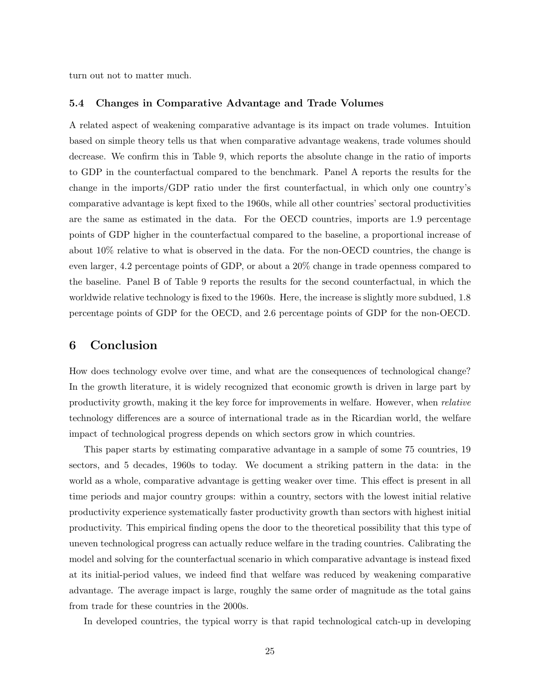turn out not to matter much.

### 5.4 Changes in Comparative Advantage and Trade Volumes

A related aspect of weakening comparative advantage is its impact on trade volumes. Intuition based on simple theory tells us that when comparative advantage weakens, trade volumes should decrease. We confirm this in Table 9, which reports the absolute change in the ratio of imports to GDP in the counterfactual compared to the benchmark. Panel A reports the results for the change in the imports/GDP ratio under the first counterfactual, in which only one country's comparative advantage is kept fixed to the 1960s, while all other countries' sectoral productivities are the same as estimated in the data. For the OECD countries, imports are 1.9 percentage points of GDP higher in the counterfactual compared to the baseline, a proportional increase of about 10% relative to what is observed in the data. For the non-OECD countries, the change is even larger, 4.2 percentage points of GDP, or about a 20% change in trade openness compared to the baseline. Panel B of Table 9 reports the results for the second counterfactual, in which the worldwide relative technology is fixed to the 1960s. Here, the increase is slightly more subdued, 1.8 percentage points of GDP for the OECD, and 2.6 percentage points of GDP for the non-OECD.

# 6 Conclusion

How does technology evolve over time, and what are the consequences of technological change? In the growth literature, it is widely recognized that economic growth is driven in large part by productivity growth, making it the key force for improvements in welfare. However, when relative technology differences are a source of international trade as in the Ricardian world, the welfare impact of technological progress depends on which sectors grow in which countries.

This paper starts by estimating comparative advantage in a sample of some 75 countries, 19 sectors, and 5 decades, 1960s to today. We document a striking pattern in the data: in the world as a whole, comparative advantage is getting weaker over time. This effect is present in all time periods and major country groups: within a country, sectors with the lowest initial relative productivity experience systematically faster productivity growth than sectors with highest initial productivity. This empirical finding opens the door to the theoretical possibility that this type of uneven technological progress can actually reduce welfare in the trading countries. Calibrating the model and solving for the counterfactual scenario in which comparative advantage is instead fixed at its initial-period values, we indeed find that welfare was reduced by weakening comparative advantage. The average impact is large, roughly the same order of magnitude as the total gains from trade for these countries in the 2000s.

In developed countries, the typical worry is that rapid technological catch-up in developing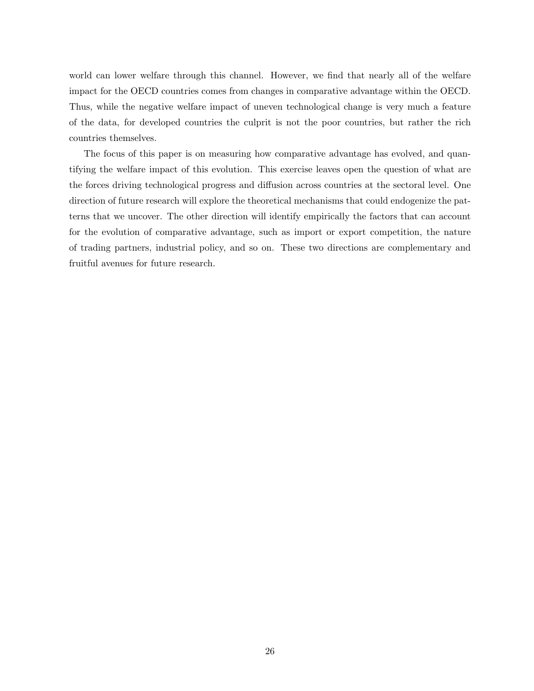world can lower welfare through this channel. However, we find that nearly all of the welfare impact for the OECD countries comes from changes in comparative advantage within the OECD. Thus, while the negative welfare impact of uneven technological change is very much a feature of the data, for developed countries the culprit is not the poor countries, but rather the rich countries themselves.

The focus of this paper is on measuring how comparative advantage has evolved, and quantifying the welfare impact of this evolution. This exercise leaves open the question of what are the forces driving technological progress and diffusion across countries at the sectoral level. One direction of future research will explore the theoretical mechanisms that could endogenize the patterns that we uncover. The other direction will identify empirically the factors that can account for the evolution of comparative advantage, such as import or export competition, the nature of trading partners, industrial policy, and so on. These two directions are complementary and fruitful avenues for future research.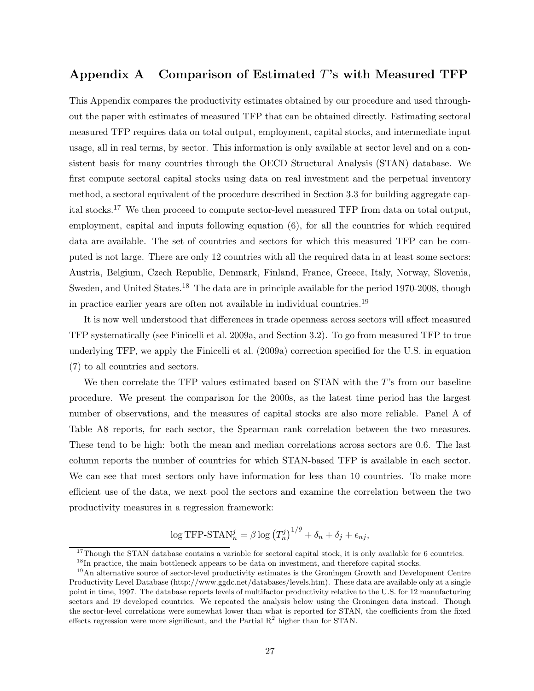# Appendix A Comparison of Estimated T's with Measured TFP

This Appendix compares the productivity estimates obtained by our procedure and used throughout the paper with estimates of measured TFP that can be obtained directly. Estimating sectoral measured TFP requires data on total output, employment, capital stocks, and intermediate input usage, all in real terms, by sector. This information is only available at sector level and on a consistent basis for many countries through the OECD Structural Analysis (STAN) database. We first compute sectoral capital stocks using data on real investment and the perpetual inventory method, a sectoral equivalent of the procedure described in Section 3.3 for building aggregate capital stocks.<sup>17</sup> We then proceed to compute sector-level measured TFP from data on total output, employment, capital and inputs following equation (6), for all the countries for which required data are available. The set of countries and sectors for which this measured TFP can be computed is not large. There are only 12 countries with all the required data in at least some sectors: Austria, Belgium, Czech Republic, Denmark, Finland, France, Greece, Italy, Norway, Slovenia, Sweden, and United States.<sup>18</sup> The data are in principle available for the period 1970-2008, though in practice earlier years are often not available in individual countries.<sup>19</sup>

It is now well understood that differences in trade openness across sectors will affect measured TFP systematically (see Finicelli et al. 2009a, and Section 3.2). To go from measured TFP to true underlying TFP, we apply the Finicelli et al. (2009a) correction specified for the U.S. in equation (7) to all countries and sectors.

We then correlate the TFP values estimated based on STAN with the T's from our baseline procedure. We present the comparison for the 2000s, as the latest time period has the largest number of observations, and the measures of capital stocks are also more reliable. Panel A of Table A8 reports, for each sector, the Spearman rank correlation between the two measures. These tend to be high: both the mean and median correlations across sectors are 0.6. The last column reports the number of countries for which STAN-based TFP is available in each sector. We can see that most sectors only have information for less than 10 countries. To make more efficient use of the data, we next pool the sectors and examine the correlation between the two productivity measures in a regression framework:

$$
\log \text{TFP-STAN}_n^j = \beta \log \left( T_n^j \right)^{1/\theta} + \delta_n + \delta_j + \epsilon_{nj},
$$

<sup>&</sup>lt;sup>17</sup>Though the STAN database contains a variable for sectoral capital stock, it is only available for 6 countries.

 $18$ In practice, the main bottleneck appears to be data on investment, and therefore capital stocks.

<sup>&</sup>lt;sup>19</sup>An alternative source of sector-level productivity estimates is the Groningen Growth and Development Centre Productivity Level Database (http://www.ggdc.net/databases/levels.htm). These data are available only at a single point in time, 1997. The database reports levels of multifactor productivity relative to the U.S. for 12 manufacturing sectors and 19 developed countries. We repeated the analysis below using the Groningen data instead. Though the sector-level correlations were somewhat lower than what is reported for STAN, the coefficients from the fixed effects regression were more significant, and the Partial  $R<sup>2</sup>$  higher than for STAN.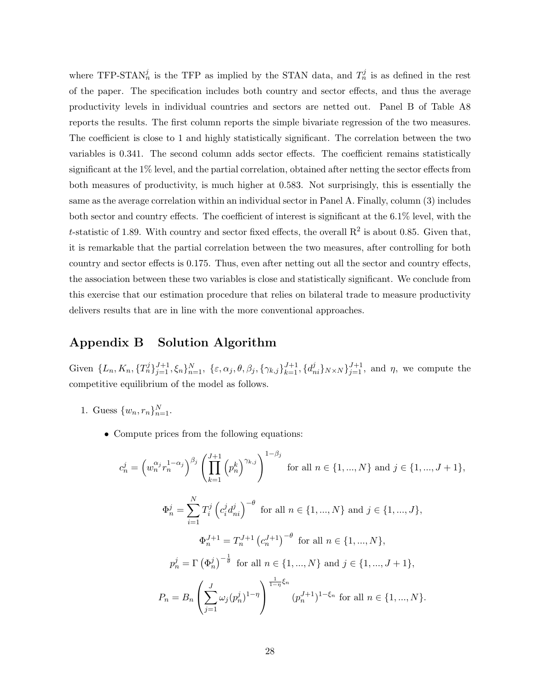where TFP-STAN<sup>j</sup> is the TFP as implied by the STAN data, and  $T_n^j$  is as defined in the rest of the paper. The specification includes both country and sector effects, and thus the average productivity levels in individual countries and sectors are netted out. Panel B of Table A8 reports the results. The first column reports the simple bivariate regression of the two measures. The coefficient is close to 1 and highly statistically significant. The correlation between the two variables is 0.341. The second column adds sector effects. The coefficient remains statistically significant at the 1% level, and the partial correlation, obtained after netting the sector effects from both measures of productivity, is much higher at 0.583. Not surprisingly, this is essentially the same as the average correlation within an individual sector in Panel A. Finally, column (3) includes both sector and country effects. The coefficient of interest is significant at the 6.1% level, with the t-statistic of 1.89. With country and sector fixed effects, the overall  $\mathbb{R}^2$  is about 0.85. Given that, it is remarkable that the partial correlation between the two measures, after controlling for both country and sector effects is 0.175. Thus, even after netting out all the sector and country effects, the association between these two variables is close and statistically significant. We conclude from this exercise that our estimation procedure that relies on bilateral trade to measure productivity delivers results that are in line with the more conventional approaches.

# Appendix B Solution Algorithm

Given  $\{L_n, K_n, \{T_n^j\}_{j=1}^{J+1}, \xi_n\}_{n=1}^N$ ,  $\{\varepsilon, \alpha_j, \theta, \beta_j, \{\gamma_{k,j}\}_{k=1}^{J+1}, \{d_{ni}^j\}_{N\times N}\}_{j=1}^{J+1}$ , and  $\eta$ , we compute the competitive equilibrium of the model as follows.

- 1. Guess  $\{w_n, r_n\}_{n=1}^N$ .
	- Compute prices from the following equations:

$$
c_n^j = \left(w_n^{\alpha_j} r_n^{1-\alpha_j}\right)^{\beta_j} \left(\prod_{k=1}^{J+1} \left(p_n^k\right)^{\gamma_{k,j}}\right)^{1-\beta_j} \text{ for all } n \in \{1, ..., N\} \text{ and } j \in \{1, ..., J+1\},
$$
  

$$
\Phi_n^j = \sum_{i=1}^N T_i^j \left(c_i^j d_{ni}^j\right)^{-\theta} \text{ for all } n \in \{1, ..., N\} \text{ and } j \in \{1, ..., J\},
$$
  

$$
\Phi_n^{J+1} = T_n^{J+1} \left(c_n^{J+1}\right)^{-\theta} \text{ for all } n \in \{1, ..., N\},
$$
  

$$
p_n^j = \Gamma\left(\Phi_n^j\right)^{-\frac{1}{\theta}} \text{ for all } n \in \{1, ..., N\} \text{ and } j \in \{1, ..., J+1\},
$$
  

$$
P_n = B_n \left(\sum_{j=1}^J \omega_j (p_n^j)^{1-\eta}\right)^{\frac{1}{1-\eta}\xi_n} (p_n^{J+1})^{1-\xi_n} \text{ for all } n \in \{1, ..., N\}.
$$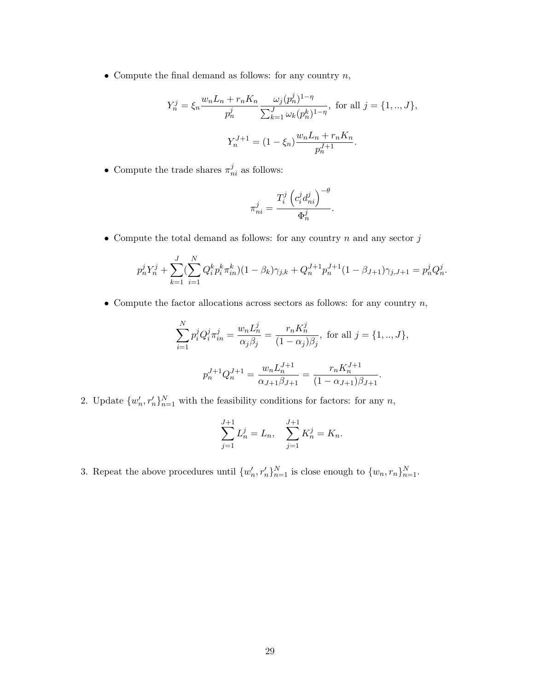• Compute the final demand as follows: for any country  $n$ ,

$$
Y_n^j = \xi_n \frac{w_n L_n + r_n K_n}{p_n^j} \frac{\omega_j (p_n^j)^{1-\eta}}{\sum_{k=1}^J \omega_k (p_n^k)^{1-\eta}}, \text{ for all } j = \{1, ..., J\},
$$

$$
Y_n^{J+1} = (1 - \xi_n) \frac{w_n L_n + r_n K_n}{p_n^{J+1}}.
$$

• Compute the trade shares  $\pi_{ni}^j$  as follows:

$$
\pi_{ni}^j = \frac{T_i^j \left( c_i^j d_{ni}^j \right)^{-\theta}}{\Phi_n^j}.
$$

 $\bullet$  Compute the total demand as follows: for any country  $n$  and any sector  $j$ 

$$
p_n^j Y_n^j + \sum_{k=1}^J (\sum_{i=1}^N Q_i^k p_i^k \pi_{in}^k)(1 - \beta_k) \gamma_{j,k} + Q_n^{J+1} p_n^{J+1} (1 - \beta_{J+1}) \gamma_{j,J+1} = p_n^j Q_n^j.
$$

• Compute the factor allocations across sectors as follows: for any country  $n$ ,

$$
\sum_{i=1}^{N} p_i^j Q_i^j \pi_{in}^j = \frac{w_n L_n^j}{\alpha_j \beta_j} = \frac{r_n K_n^j}{(1 - \alpha_j)\beta_j}, \text{ for all } j = \{1, ..., J\},
$$
  

$$
p_n^{J+1} Q_n^{J+1} = \frac{w_n L_n^{J+1}}{\alpha_{J+1} \beta_{J+1}} = \frac{r_n K_n^{J+1}}{(1 - \alpha_{J+1})\beta_{J+1}}.
$$

2. Update  $\{w'_n, r'_n\}_{n=1}^N$  with the feasibility conditions for factors: for any n,

$$
\sum_{j=1}^{J+1} L_n^j = L_n, \quad \sum_{j=1}^{J+1} K_n^j = K_n.
$$

3. Repeat the above procedures until  $\{w'_n, r'_n\}_{n=1}^N$  is close enough to  $\{w_n, r_n\}_{n=1}^N$ .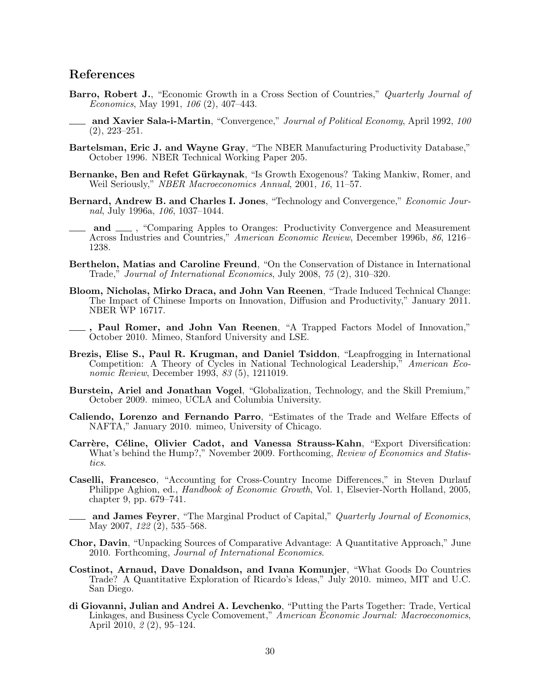# References

- Barro, Robert J., "Economic Growth in a Cross Section of Countries," Quarterly Journal of Economics, May 1991, 106 (2), 407–443.
- and Xavier Sala-i-Martin, "Convergence," *Journal of Political Economy*, April 1992, 100 (2), 223–251.
- Bartelsman, Eric J. and Wayne Gray, "The NBER Manufacturing Productivity Database," October 1996. NBER Technical Working Paper 205.
- Bernanke, Ben and Refet Gürkaynak, "Is Growth Exogenous? Taking Mankiw, Romer, and Weil Seriously," NBER Macroeconomics Annual, 2001, 16, 11–57.
- Bernard, Andrew B. and Charles I. Jones, "Technology and Convergence," Economic Journal, July 1996a, 106, 1037–1044.
- and  $\Box$ , "Comparing Apples to Oranges: Productivity Convergence and Measurement Across Industries and Countries," American Economic Review, December 1996b, 86, 1216– 1238.
- Berthelon, Matias and Caroline Freund, "On the Conservation of Distance in International Trade," Journal of International Economics, July 2008, 75 (2), 310–320.
- Bloom, Nicholas, Mirko Draca, and John Van Reenen, "Trade Induced Technical Change: The Impact of Chinese Imports on Innovation, Diffusion and Productivity," January 2011. NBER WP 16717.
- , Paul Romer, and John Van Reenen, "A Trapped Factors Model of Innovation," October 2010. Mimeo, Stanford University and LSE.
- Brezis, Elise S., Paul R. Krugman, and Daniel Tsiddon, "Leapfrogging in International Competition: A Theory of Cycles in National Technological Leadership," American Economic Review, December 1993, 83 (5), 1211019.
- Burstein, Ariel and Jonathan Vogel, "Globalization, Technology, and the Skill Premium," October 2009. mimeo, UCLA and Columbia University.
- Caliendo, Lorenzo and Fernando Parro, "Estimates of the Trade and Welfare Effects of NAFTA," January 2010. mimeo, University of Chicago.
- Carrère, Céline, Olivier Cadot, and Vanessa Strauss-Kahn, "Export Diversification: What's behind the Hump?," November 2009. Forthcoming, Review of Economics and Statistics.
- Caselli, Francesco, "Accounting for Cross-Country Income Differences," in Steven Durlauf Philippe Aghion, ed., *Handbook of Economic Growth*, Vol. 1, Elsevier-North Holland, 2005, chapter 9, pp. 679–741.
	- and James Feyrer, "The Marginal Product of Capital," Quarterly Journal of Economics, May 2007, 122 (2), 535–568.
- Chor, Davin, "Unpacking Sources of Comparative Advantage: A Quantitative Approach," June 2010. Forthcoming, Journal of International Economics.
- Costinot, Arnaud, Dave Donaldson, and Ivana Komunjer, "What Goods Do Countries Trade? A Quantitative Exploration of Ricardo's Ideas," July 2010. mimeo, MIT and U.C. San Diego.
- di Giovanni, Julian and Andrei A. Levchenko, "Putting the Parts Together: Trade, Vertical Linkages, and Business Cycle Comovement," American Economic Journal: Macroeconomics, April 2010, 2 (2), 95–124.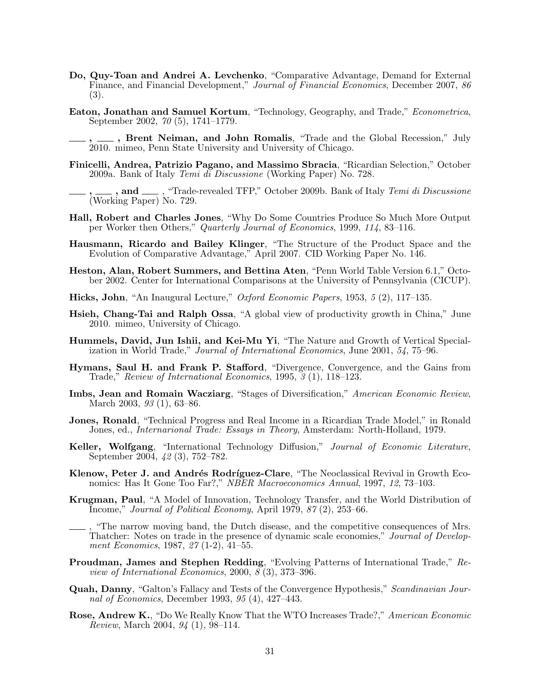- Do, Quy-Toan and Andrei A. Levchenko, "Comparative Advantage, Demand for External Finance, and Financial Development," Journal of Financial Economics, December 2007, 86 (3).
- Eaton, Jonathan and Samuel Kortum, "Technology, Geography, and Trade," Econometrica, September 2002, 70 (5), 1741–1779.
	- ., Brent Neiman, and John Romalis, "Trade and the Global Recession," July 2010. mimeo, Penn State University and University of Chicago.
- Finicelli, Andrea, Patrizio Pagano, and Massimo Sbracia, "Ricardian Selection," October 2009a. Bank of Italy Temi di Discussione (Working Paper) No. 728.
- $\Box$ , and  $\Box$ , "Trade-revealed TFP," October 2009b. Bank of Italy *Temi di Discussione* (Working Paper) No. 729.
- Hall, Robert and Charles Jones, "Why Do Some Countries Produce So Much More Output per Worker then Others," Quarterly Journal of Economics, 1999, 114, 83–116.
- Hausmann, Ricardo and Bailey Klinger, "The Structure of the Product Space and the Evolution of Comparative Advantage," April 2007. CID Working Paper No. 146.
- Heston, Alan, Robert Summers, and Bettina Aten, "Penn World Table Version 6.1," October 2002. Center for International Comparisons at the University of Pennsylvania (CICUP).
- Hicks, John, "An Inaugural Lecture," Oxford Economic Papers, 1953, 5 (2), 117–135.
- Hsieh, Chang-Tai and Ralph Ossa, "A global view of productivity growth in China," June 2010. mimeo, University of Chicago.
- Hummels, David, Jun Ishii, and Kei-Mu Yi, "The Nature and Growth of Vertical Specialization in World Trade," Journal of International Economics, June 2001, 54, 75–96.
- Hymans, Saul H. and Frank P. Stafford, "Divergence, Convergence, and the Gains from Trade," Review of International Economics, 1995, 3 (1), 118–123.
- Imbs, Jean and Romain Wacziarg, "Stages of Diversification," American Economic Review, March 2003, 93 (1), 63–86.
- Jones, Ronald, "Technical Progress and Real Income in a Ricardian Trade Model," in Ronald Jones, ed., Internarional Trade: Essays in Theory, Amsterdam: North-Holland, 1979.
- Keller, Wolfgang, "International Technology Diffusion," Journal of Economic Literature, September 2004, 42 (3), 752–782.
- Klenow, Peter J. and Andrés Rodríguez-Clare, "The Neoclassical Revival in Growth Economics: Has It Gone Too Far?," NBER Macroeconomics Annual, 1997, 12, 73–103.
- Krugman, Paul, "A Model of Innovation, Technology Transfer, and the World Distribution of Income," Journal of Political Economy, April 1979, 87 (2), 253–66.
- , "The narrow moving band, the Dutch disease, and the competitive consequences of Mrs. Thatcher: Notes on trade in the presence of dynamic scale economies," Journal of Development Economics, 1987, 27 (1-2), 41–55.
- Proudman, James and Stephen Redding, "Evolving Patterns of International Trade," Review of International Economics, 2000,  $\overline{\mathcal{S}}(3)$ , 373–396.
- Quah, Danny, "Galton's Fallacy and Tests of the Convergence Hypothesis," Scandinavian Journal of Economics, December 1993, 95 (4), 427–443.
- Rose, Andrew K., "Do We Really Know That the WTO Increases Trade?," American Economic Review, March 2004, 94 (1), 98–114.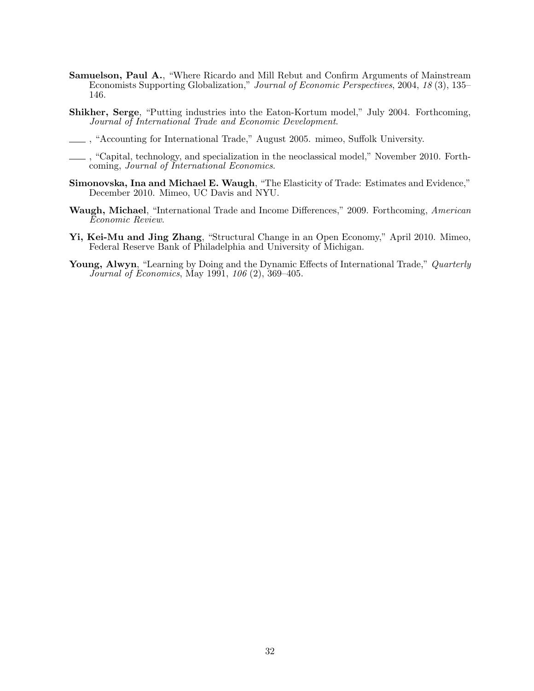- Samuelson, Paul A., "Where Ricardo and Mill Rebut and Confirm Arguments of Mainstream Economists Supporting Globalization," Journal of Economic Perspectives, 2004, 18 (3), 135– 146.
- Shikher, Serge, "Putting industries into the Eaton-Kortum model," July 2004. Forthcoming, Journal of International Trade and Economic Development.
- , "Accounting for International Trade," August 2005. mimeo, Suffolk University.
- , "Capital, technology, and specialization in the neoclassical model," November 2010. Forthcoming, Journal of International Economics.
- Simonovska, Ina and Michael E. Waugh, "The Elasticity of Trade: Estimates and Evidence," December 2010. Mimeo, UC Davis and NYU.
- Waugh, Michael, "International Trade and Income Differences," 2009. Forthcoming, American Economic Review.
- Yi, Kei-Mu and Jing Zhang, "Structural Change in an Open Economy," April 2010. Mimeo, Federal Reserve Bank of Philadelphia and University of Michigan.
- Young, Alwyn, "Learning by Doing and the Dynamic Effects of International Trade," Quarterly Journal of Economics, May 1991, 106 (2), 369–405.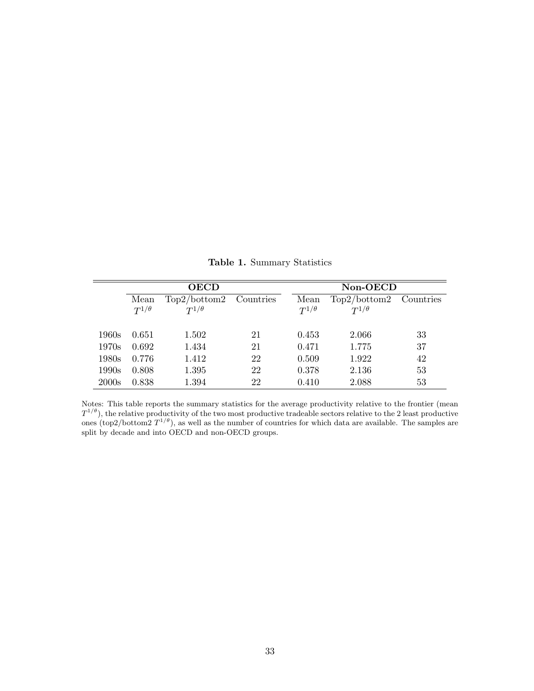|       |                        | <b>OECD</b>                    |           | Non-OECD               |                                |           |  |
|-------|------------------------|--------------------------------|-----------|------------------------|--------------------------------|-----------|--|
|       | Mean<br>$T^{1/\theta}$ | Top2/bottom2<br>$T^{1/\theta}$ | Countries | Mean<br>$T^{1/\theta}$ | Top2/bottom2<br>$T^{1/\theta}$ | Countries |  |
| 1960s | 0.651                  | 1.502                          | 21        | 0.453                  | 2.066                          | 33        |  |
| 1970s | 0.692                  | 1.434                          | 21        | 0.471                  | 1.775                          | 37        |  |
| 1980s | 0.776                  | 1.412                          | 22        | 0.509                  | 1.922                          | 42        |  |
| 1990s | 0.808                  | 1.395                          | 22        | 0.378                  | 2.136                          | 53        |  |
| 2000s | 0.838                  | 1.394                          | 22        | 0.410                  | 2.088                          | 53        |  |

Table 1. Summary Statistics

Notes: This table reports the summary statistics for the average productivity relative to the frontier (mean  $T^{1/\theta}$ ), the relative productivity of the two most productive tradeable sectors relative to the 2 least productive ones (top2/bottom2  $T^{1/\theta}$ ), as well as the number of countries for which data are available. The samples are split by decade and into OECD and non-OECD groups.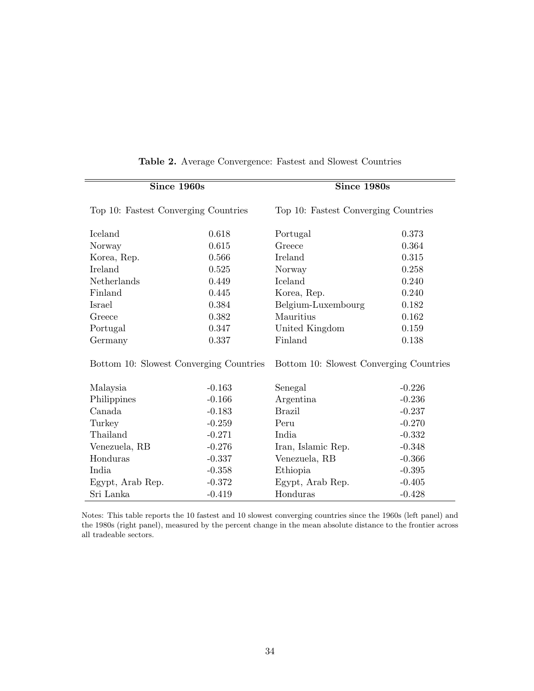| Since 1960s                             |          | Since 1980s                             |          |  |
|-----------------------------------------|----------|-----------------------------------------|----------|--|
| Top 10: Fastest Converging Countries    |          | Top 10: Fastest Converging Countries    |          |  |
| Iceland                                 | 0.618    | Portugal                                | 0.373    |  |
| Norway                                  | 0.615    | Greece                                  | 0.364    |  |
| Korea, Rep.                             | 0.566    | Ireland                                 | 0.315    |  |
| Ireland                                 | 0.525    | Norway                                  | 0.258    |  |
| Netherlands                             | 0.449    | Iceland                                 | 0.240    |  |
| Finland                                 | 0.445    | Korea, Rep.                             | 0.240    |  |
| Israel                                  | 0.384    | Belgium-Luxembourg                      | 0.182    |  |
| Greece                                  | 0.382    | Mauritius                               | 0.162    |  |
| Portugal                                | 0.347    | United Kingdom                          | 0.159    |  |
| Germany                                 | 0.337    | Finland                                 | 0.138    |  |
| Bottom 10: Slowest Converging Countries |          | Bottom 10: Slowest Converging Countries |          |  |
| Malaysia                                | $-0.163$ | Senegal                                 | $-0.226$ |  |
| Philippines                             | $-0.166$ | Argentina                               | $-0.236$ |  |
| Canada                                  | $-0.183$ | <b>Brazil</b>                           | $-0.237$ |  |
| Turkey                                  | $-0.259$ | Peru                                    | $-0.270$ |  |
| Thailand                                | $-0.271$ | India                                   | $-0.332$ |  |
| Venezuela, RB                           | $-0.276$ | Iran, Islamic Rep.                      | $-0.348$ |  |
| Honduras                                | $-0.337$ | Venezuela, RB                           | $-0.366$ |  |
| India                                   | $-0.358$ | Ethiopia                                | $-0.395$ |  |
| Egypt, Arab Rep.                        | $-0.372$ | Egypt, Arab Rep.                        | $-0.405$ |  |
| Sri Lanka                               | $-0.419$ | Honduras                                | $-0.428$ |  |

## Table 2. Average Convergence: Fastest and Slowest Countries

Notes: This table reports the 10 fastest and 10 slowest converging countries since the 1960s (left panel) and the 1980s (right panel), measured by the percent change in the mean absolute distance to the frontier across all tradeable sectors.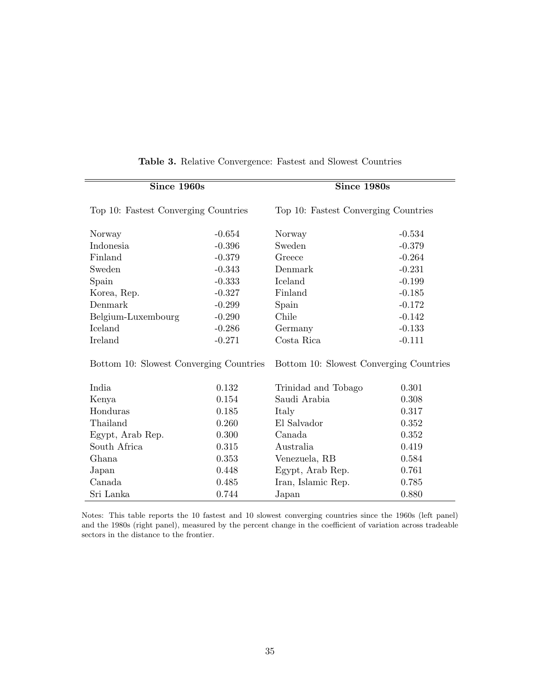| Since 1960s                             |          | Since 1980s                             |          |  |
|-----------------------------------------|----------|-----------------------------------------|----------|--|
| Top 10: Fastest Converging Countries    |          | Top 10: Fastest Converging Countries    |          |  |
| Norway                                  | $-0.654$ | Norway                                  | $-0.534$ |  |
| Indonesia                               | $-0.396$ | Sweden                                  | $-0.379$ |  |
| Finland                                 | $-0.379$ | Greece                                  | $-0.264$ |  |
| Sweden                                  | $-0.343$ | Denmark                                 | $-0.231$ |  |
| Spain                                   | $-0.333$ | Iceland                                 | $-0.199$ |  |
| Korea, Rep.                             | $-0.327$ | Finland                                 | $-0.185$ |  |
| Denmark                                 | $-0.299$ | Spain                                   | $-0.172$ |  |
| Belgium-Luxembourg                      | $-0.290$ | Chile                                   | $-0.142$ |  |
| Iceland                                 | $-0.286$ | Germany                                 | $-0.133$ |  |
| Ireland                                 | $-0.271$ | Costa Rica                              | $-0.111$ |  |
| Bottom 10: Slowest Converging Countries |          | Bottom 10: Slowest Converging Countries |          |  |
| India                                   | 0.132    | Trinidad and Tobago                     | 0.301    |  |
| Kenya                                   | 0.154    | Saudi Arabia                            | 0.308    |  |
| Honduras                                | 0.185    | Italy                                   | 0.317    |  |
| Thailand                                | 0.260    | El Salvador                             | 0.352    |  |
| Egypt, Arab Rep.                        | 0.300    | Canada                                  | 0.352    |  |
| South Africa                            | 0.315    | Australia                               | 0.419    |  |
| Ghana                                   | 0.353    | Venezuela, RB                           | 0.584    |  |
| Japan                                   | 0.448    | Egypt, Arab Rep.                        | 0.761    |  |
| Canada                                  | 0.485    | Iran, Islamic Rep.                      | 0.785    |  |
| Sri Lanka                               | 0.744    | Japan                                   | 0.880    |  |

## Table 3. Relative Convergence: Fastest and Slowest Countries

Notes: This table reports the 10 fastest and 10 slowest converging countries since the 1960s (left panel) and the 1980s (right panel), measured by the percent change in the coefficient of variation across tradeable sectors in the distance to the frontier.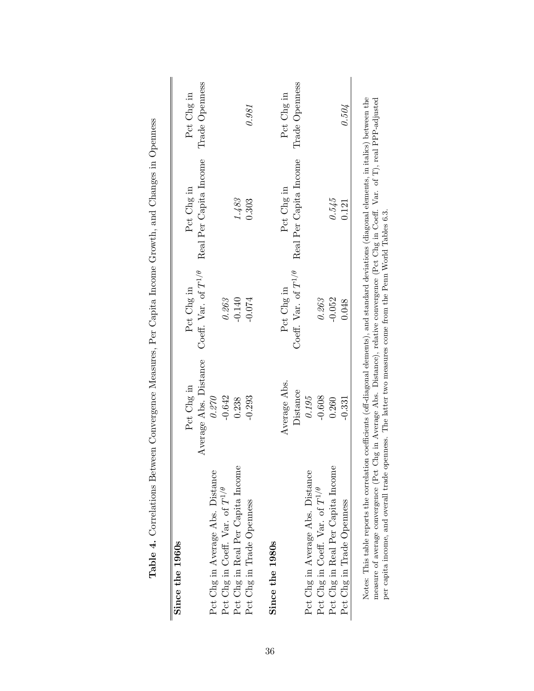| Since the 1960s                          |                       |                               |                        |                |
|------------------------------------------|-----------------------|-------------------------------|------------------------|----------------|
|                                          | Pet Chg in            | Pct Chg in                    | Pct Chg in             | Pct Chg in     |
|                                          | Average Abs. Distance | Coeff. Var. of $T^{1/\theta}$ | Real Per Capita Income | Trade Openness |
| Pct Chg in Average Abs. Distance         | 0.270                 |                               |                        |                |
| Pct Chg in Coeff. Var. of $T^{1/\theta}$ | $-0.642$              | 0.263                         |                        |                |
| Pct Chg in Real Per Capita Income        | 0.238                 | $-0.140$                      | 1.483                  |                |
| Pct Chg in Trade Openness                | $-0.293$              | $-0.074$                      | 0.303                  | 0.981          |
| Since the 1980s                          |                       |                               |                        |                |
|                                          | Average Abs.          | Pct Chg in                    | Pct Chg in             | Pct Chg in     |
|                                          | Distance              | Coeff. Var. of $T^{1/\theta}$ | Real Per Capita Income | Trade Openness |
| Pct Chg in Average Abs. Distance         | 0.195                 |                               |                        |                |
| Pct Chg in Coeff. Var. of $T^{1/\theta}$ | $-0.608$              | 0.263                         |                        |                |
| Pct Chg in Real Per Capita Income        | 0.260                 | $-0.052$                      | 0.545                  |                |
| Pct Chg in Trade Openness                | $-0.331$              | 0.048                         | 0.121                  | 0.504          |

Table 4. Correlations Between Convergence Measures, Per Capita Income Growth, and Changes in Openness Table 4. Correlations Between Convergence Measures, Per Capita Income Growth, and Changes in Openness

measure of average convergence (Pct Chg in Average Abs. Distance), relative convergence (Pct Chg in Coeff. Var. of T), real PPP-adjusted<br>per capita income, and overall trade openness. The latter two measures come from the measure of average convergence (Pct Chg in Average Abs. Distance), relative convergence (Pct Chg in Coeff. Var. of T), real PPP-adjusted per capita income, and overall trade openness. The latter two measures come from the Penn World Tables 6.3.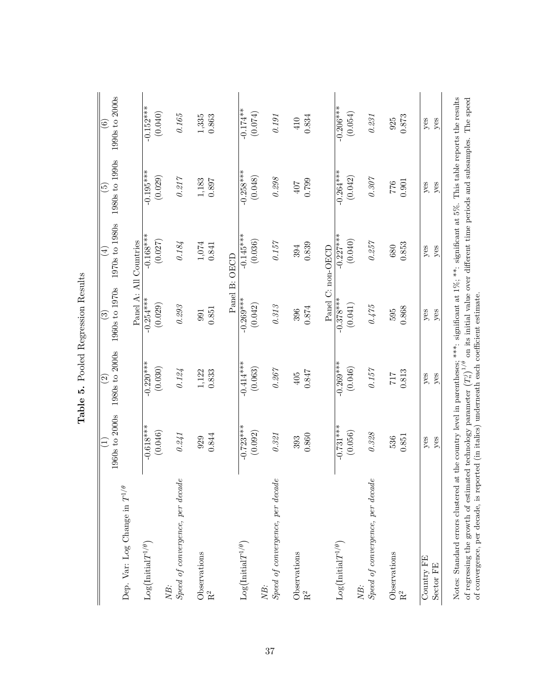|                                                                                                                                                                                                                              | Ξ                                                                                                                          | $\widehat{\infty}$ | ි                                                                          | $(\pm)$                | $\widetilde{\mathbb{G}}$ | $\widehat{\mathfrak{s}}$ |
|------------------------------------------------------------------------------------------------------------------------------------------------------------------------------------------------------------------------------|----------------------------------------------------------------------------------------------------------------------------|--------------------|----------------------------------------------------------------------------|------------------------|--------------------------|--------------------------|
| Dep. Var: Log Change in $T^{1/\theta}$                                                                                                                                                                                       | 1960s to 2000s                                                                                                             | 1980s to 2000s     | 1960s to 1970s                                                             | 1970s to 1980s         | 1980s to 1990s           | 1990s to 2000s           |
|                                                                                                                                                                                                                              |                                                                                                                            |                    |                                                                            | Panel A: All Countries |                          |                          |
| $\text{Log}\big(\text{Initial}T^{1/\theta}\big)$                                                                                                                                                                             | $-0.618***$                                                                                                                | $-0.220***$        | $-0.254***$                                                                | $-0.168***$            | $-0.195***$              | $-0.152***$              |
| NB:                                                                                                                                                                                                                          | (0.046)                                                                                                                    | (0.030)            | (0.029)                                                                    | (0.027)                | (0.029)                  | (0.040)                  |
| Speed of convergence, per decade                                                                                                                                                                                             | $0.241\,$                                                                                                                  | $0.124\,$          | $0.29\%$                                                                   | $0.184\,$              | $0.217\,$                | $0.165\,$                |
| Observations                                                                                                                                                                                                                 | 929                                                                                                                        | 1,122              | 991                                                                        | $1,\!074$              | $1,183$<br>$0.897$       | $1,\!335$                |
| $\rm R^2$                                                                                                                                                                                                                    | 0.844                                                                                                                      | 0.833              | 0.851                                                                      | 0.841                  |                          | 0.863                    |
|                                                                                                                                                                                                                              |                                                                                                                            |                    |                                                                            | Panel B: OECD          |                          |                          |
| $Log(InitialT^{1/\theta})$                                                                                                                                                                                                   | $-0.723**$                                                                                                                 | $-0.414***$        | $-0.269***$                                                                | $-0.145***$            | $-0.258***$              | $-0.174**$               |
|                                                                                                                                                                                                                              | (0.092)                                                                                                                    | (0.063)            | (0.042)                                                                    | (0.036)                | (0.048)                  | (0.074)                  |
| Speed of convergence, per decade<br>NB:                                                                                                                                                                                      | $0.321\,$                                                                                                                  | $0.267\,$          | $0.31\%$                                                                   | $0.157\,$              | $0.298\,$                | $0.191\,$                |
| Observations                                                                                                                                                                                                                 | 393                                                                                                                        | 405                | 396                                                                        | 394                    | 407                      | 410                      |
| $\rm R^2$                                                                                                                                                                                                                    | 0.860                                                                                                                      | $0.847$            | $0.874\,$                                                                  | 0.839                  | 0.799                    | 0.834                    |
|                                                                                                                                                                                                                              |                                                                                                                            |                    |                                                                            | Panel C: non-OECD      |                          |                          |
| $Log(InitialT^{1/\theta})$                                                                                                                                                                                                   | $-0.731***$                                                                                                                | $-0.269***$        | $-0.378***$                                                                | $-0.227***$            | $-0.264***$              | $-0.206***$              |
|                                                                                                                                                                                                                              | (0.056)                                                                                                                    | (0.046)            | (0.041)                                                                    | (0.040)                | (0.042)                  | (0.054)                  |
| Speed of convergence, per decade<br>NB:                                                                                                                                                                                      | $0.328\,$                                                                                                                  | $0.157\,$          | $0.475$                                                                    | $0.257\,$              | $0.307\,$                | $0.231\,$                |
|                                                                                                                                                                                                                              |                                                                                                                            |                    |                                                                            |                        |                          |                          |
| Observations                                                                                                                                                                                                                 | 536                                                                                                                        | 717                | 595                                                                        | 680                    | $776\,$                  | 925                      |
| $\rm R^2$                                                                                                                                                                                                                    | 0.851                                                                                                                      | 0.813              | 0.868                                                                      | 0.853                  | $\rm 0.901$              | 0.873                    |
| Country FE                                                                                                                                                                                                                   | yes                                                                                                                        | yes                | yes                                                                        | yes                    | yes                      | yes                      |
| Sector FE                                                                                                                                                                                                                    | yes                                                                                                                        | yes                | yes                                                                        | $y$ es                 | yes                      | yes                      |
| of convergence, per decade, is reported (in italics) underneath each coefficient estimate.<br>of regressing the growth of estimated technology parameter $\left(T_n^j\right)^{1/\theta}$<br>Notes: Standard errors clustered | at the country level in parentheses; ***: significant at $1\%$ ; **: significant at $5\%$ . This table reports the results |                    | on its initial value over different time periods and subsamples. The speed |                        |                          |                          |

Table 5. Pooled Regression Results Table 5. Pooled Regression Results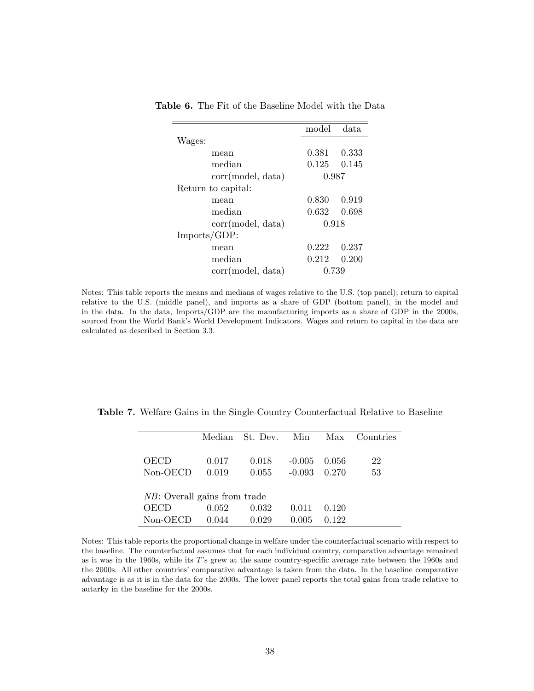|                    | model | data  |
|--------------------|-------|-------|
| Wages:             |       |       |
| mean               | 0.381 | 0.333 |
| median             | 0.125 | 0.145 |
| corr(model, data)  | 0.987 |       |
| Return to capital: |       |       |
| mean               | 0.830 | 0.919 |
| median             | 0.632 | 0.698 |
| corr(model, data)  | 0.918 |       |
| Imports/GDP:       |       |       |
| mean               | 0.222 | 0.237 |
| median             | 0.212 | 0.200 |
| corr(model, data)  | 0.739 |       |

Table 6. The Fit of the Baseline Model with the Data

Notes: This table reports the means and medians of wages relative to the U.S. (top panel); return to capital relative to the U.S. (middle panel), and imports as a share of GDP (bottom panel), in the model and in the data. In the data, Imports/GDP are the manufacturing imports as a share of GDP in the 2000s, sourced from the World Bank's World Development Indicators. Wages and return to capital in the data are calculated as described in Section 3.3.

Table 7. Welfare Gains in the Single-Country Counterfactual Relative to Baseline

|                                      | Median | St. Dev. | Min      | Max   | Countries |
|--------------------------------------|--------|----------|----------|-------|-----------|
|                                      |        |          |          |       |           |
| <b>OECD</b>                          | 0.017  | 0.018    | $-0.005$ | 0.056 | 22        |
| Non-OECD                             | 0.019  | 0.055    | $-0.093$ | 0.270 | 53        |
|                                      |        |          |          |       |           |
| <i>NB</i> : Overall gains from trade |        |          |          |       |           |
| OECD                                 | 0.052  | 0.032    | 0.011    | 0.120 |           |
| Non-OECD                             | 0.044  | 0.029    | 0.005    | .122  |           |

Notes: This table reports the proportional change in welfare under the counterfactual scenario with respect to the baseline. The counterfactual assumes that for each individual country, comparative advantage remained as it was in the 1960s, while its T's grew at the same country-specific average rate between the 1960s and the 2000s. All other countries' comparative advantage is taken from the data. In the baseline comparative advantage is as it is in the data for the 2000s. The lower panel reports the total gains from trade relative to autarky in the baseline for the 2000s.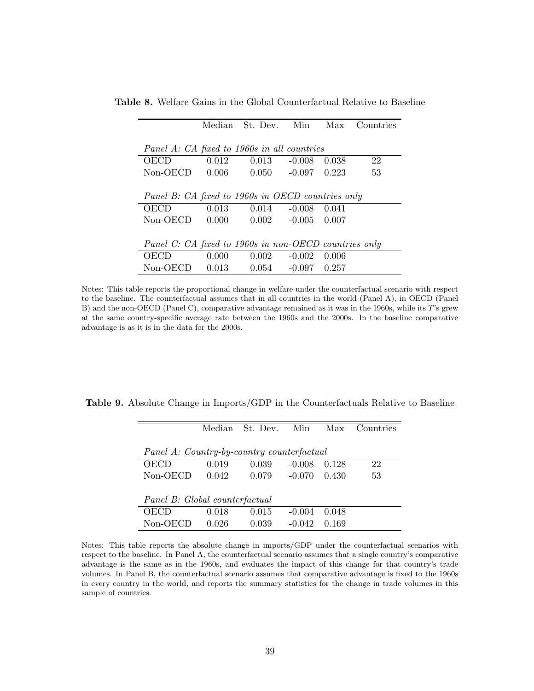|                                                       |       | Median St. Dev. Min |                      | Max   | Countries |
|-------------------------------------------------------|-------|---------------------|----------------------|-------|-----------|
|                                                       |       |                     |                      |       |           |
| Panel A: CA fixed to 1960s in all countries           |       |                     |                      |       |           |
| OECD                                                  | 0.012 | 0.013               | $-0.008$             | 0.038 | 22        |
| Non-OECD                                              | 0.006 |                     | $0.050 -0.097 0.223$ |       | 53        |
|                                                       |       |                     |                      |       |           |
| Panel B: CA fixed to 1960s in OECD countries only     |       |                     |                      |       |           |
| OECD                                                  | 0.013 | 0.014               | $-0.008$             | 0.041 |           |
| Non-OECD                                              | 0.000 |                     | $0.002 -0.005 0.007$ |       |           |
|                                                       |       |                     |                      |       |           |
| Panel C: CA fixed to 1960s in non-OECD countries only |       |                     |                      |       |           |
| OECD                                                  | 0.000 | $0.002 - 0.002$     |                      | 0.006 |           |
| $Non-OECD$                                            | 0.013 | 0.054               | $-0.097$ 0.257       |       |           |

Table 8. Welfare Gains in the Global Counterfactual Relative to Baseline

Notes: This table reports the proportional change in welfare under the counterfactual scenario with respect to the baseline. The counterfactual assumes that in all countries in the world (Panel A), in OECD (Panel B) and the non-OECD (Panel C), comparative advantage remained as it was in the 1960s, while its T's grew at the same country-specific average rate between the 1960s and the 2000s. In the baseline comparative advantage is as it is in the data for the 2000s.

Table 9. Absolute Change in Imports/GDP in the Counterfactuals Relative to Baseline

|                                            | Median | St. Dev. | Min      | Max   | Countries |
|--------------------------------------------|--------|----------|----------|-------|-----------|
|                                            |        |          |          |       |           |
| Panel A: Country-by-country counterfactual |        |          |          |       |           |
| OECD                                       | 0.019  | 0.039    | $-0.008$ | 0.128 | 22        |
| Non-OECD                                   | 0.042  | 0.079    | $-0.070$ | 0.430 | 53        |
|                                            |        |          |          |       |           |
| Panel B: Global counterfactual             |        |          |          |       |           |
| OECD                                       | 0.018  | 0.015    | $-0.004$ | 0.048 |           |
| Non-OECD                                   | 0.026  | 0.039    | $-0.042$ | 0.169 |           |

Notes: This table reports the absolute change in imports/GDP under the counterfactual scenarios with respect to the baseline. In Panel A, the counterfactual scenario assumes that a single country's comparative advantage is the same as in the 1960s, and evaluates the impact of this change for that country's trade volumes. In Panel B, the counterfactual scenario assumes that comparative advantage is fixed to the 1960s in every country in the world, and reports the summary statistics for the change in trade volumes in this sample of countries.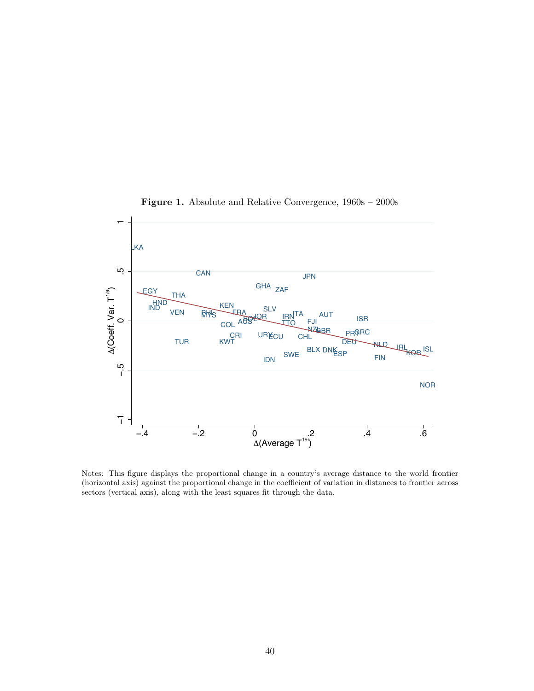

Figure 1. Absolute and Relative Convergence, 1960s – 2000s

Notes: This figure displays the proportional change in a country's average distance to the world frontier (horizontal axis) against the proportional change in the coefficient of variation in distances to frontier across sectors (vertical axis), along with the least squares fit through the data.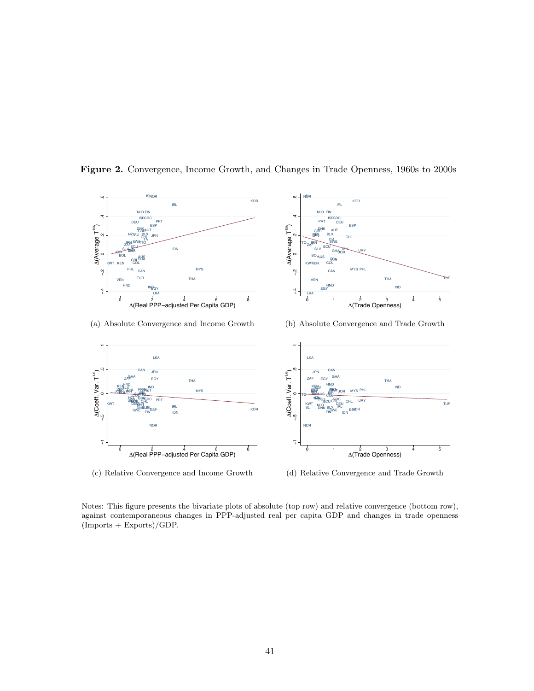

Figure 2. Convergence, Income Growth, and Changes in Trade Openness, 1960s to 2000s

(c) Relative Convergence and Income Growth

(d) Relative Convergence and Trade Growth

Notes: This figure presents the bivariate plots of absolute (top row) and relative convergence (bottom row), against contemporaneous changes in PPP-adjusted real per capita GDP and changes in trade openness  $($ Imports + Exports $)/$ GDP.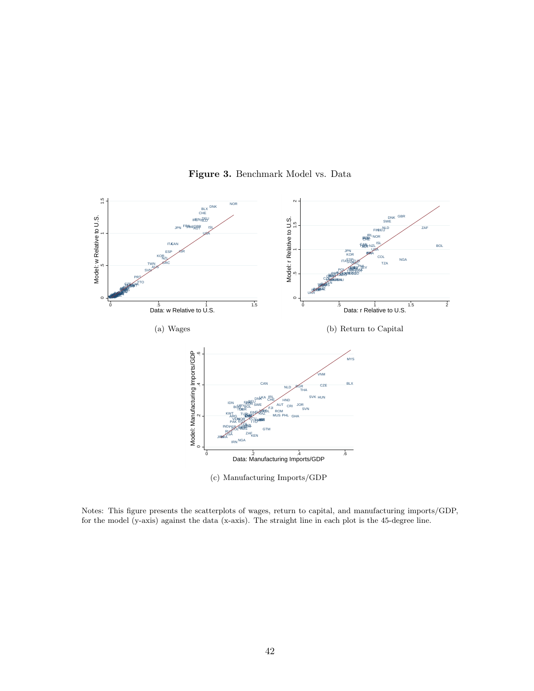

Figure 3. Benchmark Model vs. Data

Notes: This figure presents the scatterplots of wages, return to capital, and manufacturing imports/GDP, for the model (y-axis) against the data (x-axis). The straight line in each plot is the 45-degree line.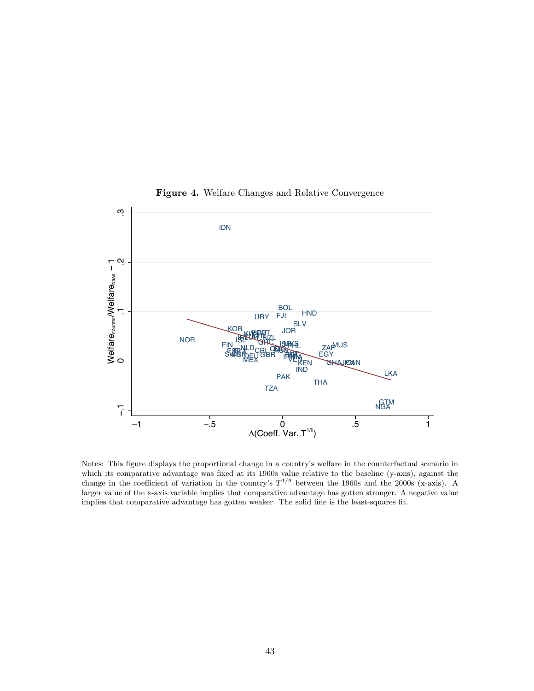

Figure 4. Welfare Changes and Relative Convergence

Notes: This figure displays the proportional change in a country's welfare in the counterfactual scenario in which its comparative advantage was fixed at its 1960s value relative to the baseline (y-axis), against the change in the coefficient of variation in the country's  $T^{1/\theta}$  between the 1960s and the 2000s (x-axis). A larger value of the x-axis variable implies that comparative advantage has gotten stronger. A negative value implies that comparative advantage has gotten weaker. The solid line is the least-squares fit.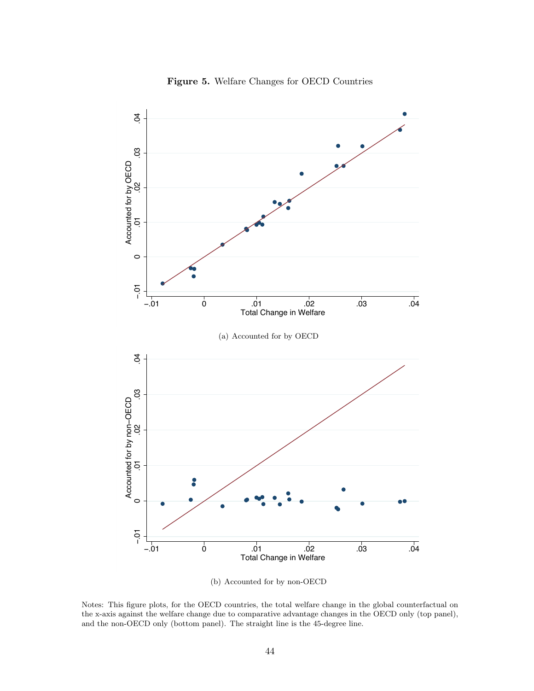

Figure 5. Welfare Changes for OECD Countries

(b) Accounted for by non-OECD

Notes: This figure plots, for the OECD countries, the total welfare change in the global counterfactual on the x-axis against the welfare change due to comparative advantage changes in the OECD only (top panel), and the non-OECD only (bottom panel). The straight line is the 45-degree line.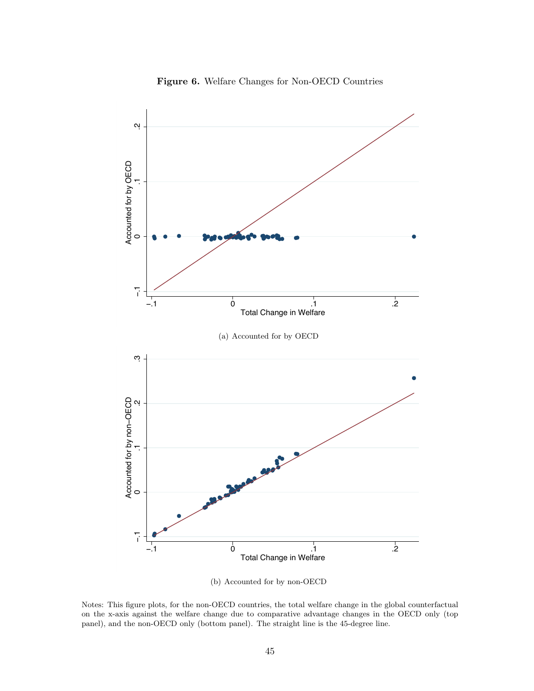

Figure 6. Welfare Changes for Non-OECD Countries

(b) Accounted for by non-OECD

Notes: This figure plots, for the non-OECD countries, the total welfare change in the global counterfactual on the x-axis against the welfare change due to comparative advantage changes in the OECD only (top panel), and the non-OECD only (bottom panel). The straight line is the 45-degree line.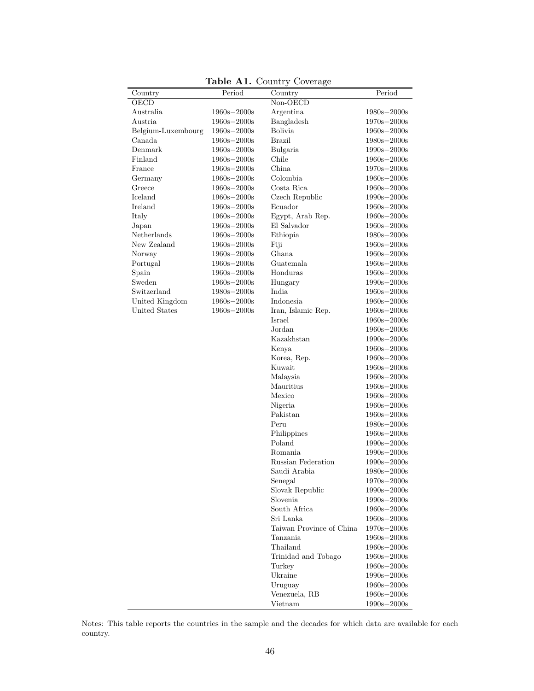|                      |                 | <b>Table AI.</b> Country Coverage |                                   |
|----------------------|-----------------|-----------------------------------|-----------------------------------|
| Country              | Period          | Country                           | Period                            |
| OECD                 |                 | $\overline{\text{Non-OECD}}$      |                                   |
| Australia            | $1960s - 2000s$ | Argentina                         | $1980s - 2000s$                   |
| Austria              | $1960s - 2000s$ | Bangladesh                        | $1970s - 2000s$                   |
| Belgium-Luxembourg   | $1960s - 2000s$ | <b>Bolivia</b>                    | $1960s - 2000s$                   |
| Canada               | $1960s - 2000s$ | <b>Brazil</b>                     | $1980s - 2000s$                   |
| Denmark              | $1960s - 2000s$ | Bulgaria                          | $1990s - 2000s$                   |
| Finland              | $1960s - 2000s$ | Chile                             | $1960s - 2000s$                   |
| France               | $1960s - 2000s$ | China                             | $1970s - 2000s$                   |
| Germany              | $1960s - 2000s$ | Colombia                          | $1960s - 2000s$                   |
| Greece               | $1960s - 2000s$ | Costa Rica                        | $1960s - 2000s$                   |
| Iceland              | $1960s - 2000s$ | Czech Republic                    | $1990s - 2000s$                   |
| Ireland              | $1960s - 2000s$ | Ecuador                           | $1960s - 2000s$                   |
| Italy                | $1960s - 2000s$ | Egypt, Arab Rep.                  | $1960s - 2000s$                   |
| Japan                | $1960s - 2000s$ | El Salvador                       | $1960s - 2000s$                   |
| Netherlands          | $1960s - 2000s$ | Ethiopia                          | $1980s - 2000s$                   |
| New Zealand          | $1960s - 2000s$ | Fiji                              | $1960\mathrm{s}{-2000\mathrm{s}}$ |
| Norway               | $1960s - 2000s$ | <b>Ghana</b>                      | $1960s - 2000s$                   |
| Portugal             | $1960s - 2000s$ | Guatemala                         | $1960s - 2000s$                   |
| Spain                | $1960s - 2000s$ | Honduras                          | $1960s - 2000s$                   |
| Sweden               | $1960s - 2000s$ | Hungary                           | $1990s - 2000s$                   |
| Switzerland          | $1980s - 2000s$ | India                             | $1960s - 2000s$                   |
| United Kingdom       | $1960s - 2000s$ | Indonesia                         | $1960s - 2000s$                   |
| <b>United States</b> | $1960s - 2000s$ | Iran, Islamic Rep.                | $1960s - 2000s$                   |
|                      |                 | Israel                            | $1960s - 2000s$                   |
|                      |                 | Jordan                            | $1960\mathrm{s}{-2000\mathrm{s}}$ |
|                      |                 | Kazakhstan                        | $1990s - 2000s$                   |
|                      |                 | Kenya                             | $1960s - 2000s$                   |
|                      |                 | Korea, Rep.                       | $1960s - 2000s$                   |
|                      |                 | Kuwait                            | $1960s - 2000s$                   |
|                      |                 | Malaysia                          | $1960s - 2000s$                   |
|                      |                 | Mauritius                         | $1960s - 2000s$                   |
|                      |                 | Mexico                            | $1960s - 2000s$                   |
|                      |                 | Nigeria                           | $1960s - 2000s$                   |
|                      |                 | Pakistan                          | $1960s - 2000s$                   |
|                      |                 | Peru                              | $1980s - 2000s$                   |
|                      |                 | Philippines                       | $1960s - 2000s$                   |
|                      |                 | Poland                            | $1990s - 2000s$                   |
|                      |                 | Romania                           | $1990s - 2000s$                   |
|                      |                 | Russian Federation                | $1990s - 2000s$                   |
|                      |                 | Saudi Arabia                      | $1980s - 2000s$                   |
|                      |                 | Senegal                           | $1970s - 2000s$                   |
|                      |                 | Slovak Republic                   | $1990s - 2000s$                   |
|                      |                 | Slovenia                          | $1990s - 2000s$                   |
|                      |                 | South Africa                      | $1960s - 2000s$                   |
|                      |                 | Sri Lanka                         | $1960\mathrm{s}{-2000\mathrm{s}}$ |
|                      |                 | Taiwan Province of China          | $1970s - 2000s$                   |
|                      |                 | Tanzania                          | $1960\mathrm{s}{-2000\mathrm{s}}$ |
|                      |                 | Thailand                          | $1960s - 2000s$                   |
|                      |                 | Trinidad and Tobago               | $1960s - 2000s$                   |
|                      |                 | Turkey                            | $1960s - 2000s$                   |
|                      |                 | Ukraine                           | $1990s - 2000s$                   |
|                      |                 | Uruguay                           | $1960s - 2000s$                   |
|                      |                 | Venezuela, RB                     | $1960s - 2000s$                   |
|                      |                 | Vietnam                           |                                   |
|                      |                 |                                   | $1990s - 2000s$                   |

Table  $\Lambda$ 1. Country Co

Notes: This table reports the countries in the sample and the decades for which data are available for each country.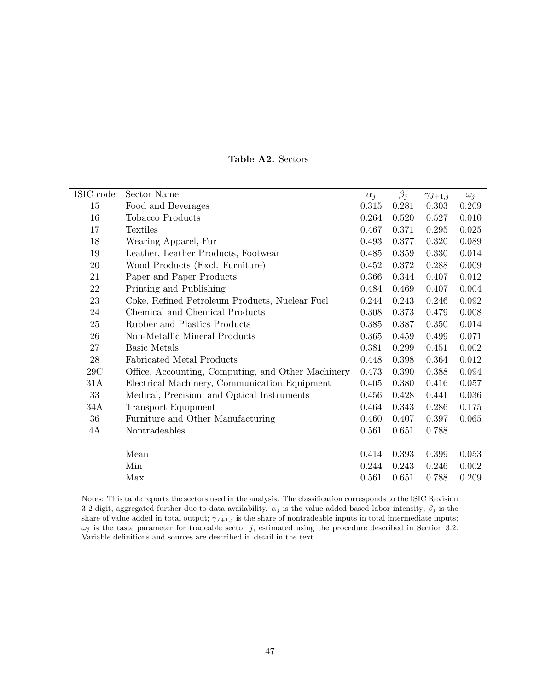| ISIC code | Sector Name                                        | $\alpha_j$ | $\beta_j$ | $\gamma_{J+1,j}$ | $\omega_i$ |
|-----------|----------------------------------------------------|------------|-----------|------------------|------------|
| 15        | Food and Beverages                                 | 0.315      | 0.281     | 0.303            | 0.209      |
| 16        | <b>Tobacco Products</b>                            | 0.264      | 0.520     | 0.527            | 0.010      |
| 17        | <b>Textiles</b>                                    | 0.467      | 0.371     | 0.295            | 0.025      |
| 18        | Wearing Apparel, Fur                               | 0.493      | 0.377     | 0.320            | 0.089      |
| 19        | Leather, Leather Products, Footwear                | 0.485      | 0.359     | 0.330            | 0.014      |
| $20\,$    | Wood Products (Excl. Furniture)                    | 0.452      | 0.372     | 0.288            | 0.009      |
| 21        | Paper and Paper Products                           | 0.366      | 0.344     | 0.407            | 0.012      |
| 22        | Printing and Publishing                            | 0.484      | 0.469     | 0.407            | 0.004      |
| 23        | Coke, Refined Petroleum Products, Nuclear Fuel     | 0.244      | 0.243     | 0.246            | 0.092      |
| 24        | Chemical and Chemical Products                     | 0.308      | 0.373     | 0.479            | 0.008      |
| $25\,$    | Rubber and Plastics Products                       | 0.385      | 0.387     | 0.350            | 0.014      |
| $26\,$    | Non-Metallic Mineral Products                      | 0.365      | 0.459     | 0.499            | 0.071      |
| 27        | <b>Basic Metals</b>                                | 0.381      | 0.299     | 0.451            | 0.002      |
| $28\,$    | <b>Fabricated Metal Products</b>                   | 0.448      | 0.398     | 0.364            | 0.012      |
| 29C       | Office, Accounting, Computing, and Other Machinery | 0.473      | 0.390     | 0.388            | 0.094      |
| 31A       | Electrical Machinery, Communication Equipment      | 0.405      | 0.380     | 0.416            | 0.057      |
| 33        | Medical, Precision, and Optical Instruments        | 0.456      | 0.428     | 0.441            | 0.036      |
| 34A       | <b>Transport Equipment</b>                         | 0.464      | 0.343     | 0.286            | 0.175      |
| 36        | Furniture and Other Manufacturing                  | 0.460      | 0.407     | 0.397            | 0.065      |
| 4A        | Nontradeables                                      | 0.561      | 0.651     | 0.788            |            |
|           |                                                    |            |           |                  |            |
|           | Mean                                               | 0.414      | 0.393     | 0.399            | 0.053      |
|           | Min                                                | 0.244      | 0.243     | 0.246            | 0.002      |
|           | Max                                                | 0.561      | 0.651     | 0.788            | 0.209      |

Notes: This table reports the sectors used in the analysis. The classification corresponds to the ISIC Revision 3 2-digit, aggregated further due to data availability.  $\alpha_j$  is the value-added based labor intensity;  $\beta_j$  is the share of value added in total output;  $\gamma_{J+1,j}$  is the share of nontradeable inputs in total intermediate inputs;  $\omega_j$  is the taste parameter for tradeable sector j, estimated using the procedure described in Section 3.2. Variable definitions and sources are described in detail in the text.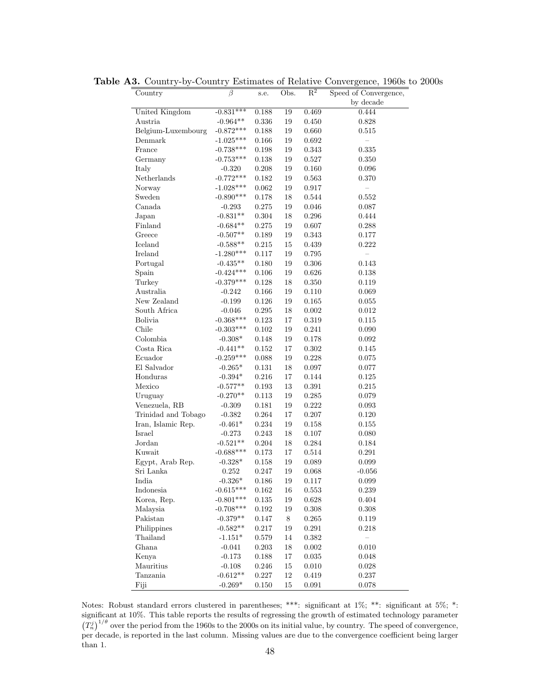| Country             | $\overline{\beta}$              | s.e.      | Obs.   | $\mathbb{R}^2$ | Speed of Convergence, |
|---------------------|---------------------------------|-----------|--------|----------------|-----------------------|
|                     |                                 |           |        |                | by decade             |
| United Kingdom      | $-0.831***$                     | 0.188     | 19     | 0.469          | 0.444                 |
| Austria             | $\textbf{-0.964}^{\textbf{**}}$ | 0.336     | 19     | 0.450          | 0.828                 |
| Belgium-Luxembourg  | $-0.872***$                     | 0.188     | 19     | 0.660          | $0.515\,$             |
| Denmark             | $-1.025***$                     | 0.166     | 19     | 0.692          |                       |
| France              | $-0.738***$                     | 0.198     | 19     | 0.343          | 0.335                 |
| Germany             | $-0.753***$                     | 0.138     | 19     | 0.527          | 0.350                 |
| Italy               | $-0.320$                        | 0.208     | 19     | 0.160          | 0.096                 |
| Netherlands         | $-0.772***$                     | 0.182     | 19     | 0.563          | 0.370                 |
| Norway              | $-1.028***$                     | 0.062     | 19     | 0.917          |                       |
| Sweden              | $-0.890***$                     | 0.178     | 18     | 0.544          | 0.552                 |
| Canada              | $-0.293$                        | 0.275     | 19     | 0.046          | 0.087                 |
| Japan               | $-0.831**$                      | $0.304\,$ | 18     | $0.296\,$      | 0.444                 |
| Finland             | $-0.684**$                      | 0.275     | 19     | 0.607          | 0.288                 |
| Greece              | $-0.507**$                      | 0.189     | 19     | 0.343          | 0.177                 |
| Iceland             | $-0.588**$                      | 0.215     | $15\,$ | 0.439          | 0.222                 |
| Ireland             | $-1.280***$                     | 0.117     | 19     | 0.795          |                       |
| Portugal            | $-0.435**$                      | 0.180     | 19     | $0.306\,$      | 0.143                 |
| Spain               | $-0.424***$                     | 0.106     | 19     | 0.626          | 0.138                 |
| Turkey              | $-0.379***$                     | 0.128     | 18     | 0.350          | 0.119                 |
| Australia           | $-0.242$                        | 0.166     | 19     | 0.110          | 0.069                 |
| New Zealand         | $-0.199$                        | 0.126     | 19     | 0.165          | 0.055                 |
| South Africa        | $-0.046$                        | $0.295\,$ | 18     | 0.002          | 0.012                 |
| Bolivia             | $-0.368***$                     | 0.123     | 17     | 0.319          | 0.115                 |
| Chile               | $-0.303***$                     | 0.102     | 19     | 0.241          | $0.090\,$             |
| Colombia            | $-0.308*$                       | 0.148     | 19     | 0.178          | 0.092                 |
| Costa Rica          | $-0.441**$                      | 0.152     | 17     | 0.302          | 0.145                 |
| Ecuador             | $-0.259***$                     | 0.088     | 19     | 0.228          | 0.075                 |
| El Salvador         | $-0.265*$                       | 0.131     | 18     | 0.097          | 0.077                 |
| Honduras            | $-0.394^{\ast}$                 | $0.216\,$ | 17     | 0.144          | 0.125                 |
| Mexico              | $-0.577**$                      | 0.193     | 13     | $0.391\,$      | 0.215                 |
| Uruguay             | $-0.270**$                      | 0.113     | 19     | $0.285\,$      | 0.079                 |
| Venezuela, RB       | $-0.309$                        | 0.181     | 19     | 0.222          | 0.093                 |
| Trinidad and Tobago | $-0.382$                        | 0.264     | 17     | 0.207          | 0.120                 |
| Iran, Islamic Rep.  | $-0.461*$                       | 0.234     | 19     | 0.158          | 0.155                 |
| Israel              | $-0.273$                        | 0.243     | 18     | 0.107          | 0.080                 |
| Jordan              | $-0.521**$                      | 0.204     | 18     | 0.284          | 0.184                 |
| Kuwait              | $-0.688***$                     | 0.173     | 17     | 0.514          | 0.291                 |
| Egypt, Arab Rep.    | $-0.328*$                       | 0.158     | 19     | 0.089          | 0.099                 |
| Sri Lanka           | 0.252                           | 0.247     | 19     | 0.068          | $-0.056$              |
| India               | $-0.326*$                       | 0.186     | $19\,$ | 0.117          | $\,0.099\,$           |
| Indonesia           | $-0.615***$                     |           |        |                |                       |
| Korea, Rep.         |                                 | 0.162     | 16     | 0.553          | 0.239                 |
| Malaysia            | $-0.801***$<br>$-0.708***$      | $0.135\,$ | 19     | $0.628\,$      | $0.404\,$             |
|                     |                                 | 0.192     | 19     | 0.308          | 0.308                 |
| Pakistan            | $-0.379**$                      | 0.147     | $8\,$  | 0.265          | 0.119                 |
| Philippines         | $-0.582**$                      | 0.217     | 19     | $\rm 0.291$    | 0.218                 |
| Thailand            | $-1.151*$                       | $0.579\,$ | 14     | 0.382          |                       |
| Ghana               | $-0.041$                        | 0.203     | 18     | $0.002\,$      | $0.010\,$             |
| Kenya               | $-0.173$                        | 0.188     | 17     | $\,0.035\,$    | 0.048                 |
| Mauritius           | $-0.108$                        | 0.246     | $15\,$ | 0.010          | 0.028                 |
| Tanzania            | $-0.612**$                      | 0.227     | $12\,$ | $\,0.419\,$    | 0.237                 |
| Fiji                | $-0.269*$                       | $0.150\,$ | $15\,$ | $\,0.091\,$    | $0.078\,$             |

Table A3. Country-by-Country Estimates of Relative Convergence, 1960s to 2000s

Notes: Robust standard errors clustered in parentheses; \*\*\*: significant at 1%; \*\*: significant at 5%; \*: significant at 10%. This table reports the results of regressing the growth of estimated technology parameter  $(T_n^j)^{1/\theta}$  over the period from the 1960s to the 2000s on its initial value, by country. The speed of convergence, per decade, is reported in the last column. Missing values are due to the convergence coefficient being larger than 1.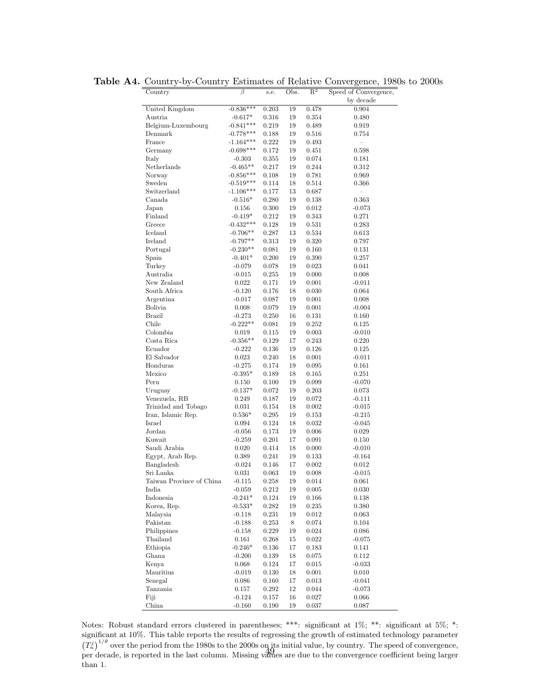| Country                  | $\beta$         | s.e.      | Obs.   | $R^2$       | Speed of Convergence, |
|--------------------------|-----------------|-----------|--------|-------------|-----------------------|
|                          |                 |           |        |             | by decade             |
| United Kingdom           | $-0.836***$     | 0.203     | 19     | 0.478       | 0.904                 |
| Austria                  | $-0.617*$       | 0.316     | 19     | 0.354       | 0.480                 |
| Belgium-Luxembourg       | $-0.841***$     | 0.219     | 19     | 0.489       | 0.919                 |
| Denmark                  | $-0.778***$     | 0.188     | 19     | 0.516       | 0.754                 |
| France                   | $-1.164***$     | 0.222     | 19     | 0.493       |                       |
| Germany                  | $-0.698***$     | 0.172     | 19     | 0.451       | 0.598                 |
| Italy                    | $-0.303$        | 0.355     | 19     | 0.074       | 0.181                 |
| Netherlands              | $-0.465**$      | 0.217     | 19     | 0.244       | 0.312                 |
| Norway                   | $-0.856***$     | 0.108     | 19     | 0.781       | 0.969                 |
| Sweden                   | $-0.519***$     | 0.114     | 18     | 0.514       | 0.366                 |
| Switzerland              | $-1.106***$     | 0.177     | 13     | 0.687       |                       |
| Canada                   | $-0.516*$       | 0.280     | 19     | 0.138       | 0.363                 |
| Japan                    | 0.156           | 0.300     | 19     | 0.012       | $-0.073$              |
| Finland                  | $-0.419*$       | 0.212     | 19     | 0.343       | 0.271                 |
| Greece                   | $-0.432***$     | 0.128     | 19     | 0.531       | 0.283                 |
|                          |                 |           | 13     |             |                       |
| Iceland                  | $-0.706**$      | 0.287     |        | 0.534       | 0.613                 |
| Ireland                  | $-0.797**$      | 0.313     | 19     | 0.320       | 0.797                 |
| Portugal                 | $-0.230**$      | 0.081     | 19     | 0.160       | 0.131                 |
| Spain                    | $-0.401*$       | 0.200     | 19     | 0.390       | 0.257                 |
| Turkey                   | $-0.079$        | 0.078     | 19     | 0.023       | 0.041                 |
| Australia                | $-0.015$        | 0.255     | 19     | 0.000       | 0.008                 |
| New Zealand              | 0.022           | 0.171     | 19     | 0.001       | $-0.011$              |
| South Africa             | $-0.120$        | 0.176     | 18     | 0.030       | 0.064                 |
| Argentina                | $-0.017$        | 0.087     | 19     | 0.001       | 0.008                 |
| <b>Bolivia</b>           | 0.008           | 0.079     | 19     | 0.001       | $-0.004$              |
| <b>Brazil</b>            | $-0.273$        | 0.250     | 16     | 0.131       | 0.160                 |
| Chile                    | $-0.222**$      | 0.081     | 19     | 0.252       | 0.125                 |
| Colombia                 | 0.019           | 0.115     | 19     | 0.003       | $-0.010$              |
| Costa Rica               | $-0.356**$      | 0.129     | 17     | 0.243       | 0.220                 |
| Ecuador                  | $-0.222$        | 0.136     | 19     | 0.126       | 0.125                 |
| El Salvador              | 0.023           | 0.240     | 18     | 0.001       | $-0.011$              |
| Honduras                 | $-0.275$        | 0.174     | 19     | 0.095       | 0.161                 |
| Mexico                   | $-0.395*$       | 0.189     | 18     | 0.165       | 0.251                 |
| Peru                     | 0.150           | 0.100     | 19     | 0.099       | $-0.070$              |
| Uruguay                  | $-0.137*$       | 0.072     | 19     | 0.203       | 0.073                 |
| Venezuela, RB            | 0.249           | 0.187     | 19     | 0.072       | $-0.111$              |
| Trinidad and Tobago      | 0.031           | 0.154     | 18     | 0.002       | $-0.015$              |
| Iran, Islamic Rep.       | $0.536*$        | 0.295     | 19     | 0.153       | $-0.215$              |
| Israel                   | 0.094           | 0.124     | 18     | 0.032       | $-0.045$              |
| Jordan                   | $-0.056$        | 0.173     | 19     | 0.006       | 0.029                 |
| Kuwait                   | $-0.259$        | 0.201     | 17     | 0.091       | 0.150                 |
|                          |                 |           |        |             |                       |
| Saudi Arabia             | 0.020           | 0.414     | 18     | 0.000       | $-0.010$<br>$-0.164$  |
| Egypt, Arab Rep.         | 0.389           | 0.241     | 19     | 0.133       |                       |
| Bangladesh               | $-0.024$        | 0.146     | 17     | 0.002       | 0.012                 |
| Sri Lanka                | 0.031           | 0.063     | 19     | 0.008       | $-0.015$              |
| Taiwan Province of China | -0.115          | 0.258     | 19     | 0.014       | 0.061                 |
| India                    | $-0.059$        | 0.212     | 19     | $0.005\,$   | 0.030                 |
| Indonesia                | $-0.241*$       | 0.124     | 19     | 0.166       | 0.138                 |
| Korea, Rep.              | $-0.533^{\ast}$ | 0.282     | 19     | 0.235       | 0.380                 |
| Malaysia                 | $-0.118$        | 0.231     | 19     | $\,0.012\,$ | 0.063                 |
| Pakistan                 | $-0.188$        | 0.253     | 8      | 0.074       | 0.104                 |
| Philippines              | $-0.158$        | 0.229     | $19\,$ | 0.024       | 0.086                 |
| Thailand                 | 0.161           | 0.268     | 15     | $\,0.022\,$ | $-0.075$              |
| Ethiopia                 | $-0.246*$       | $0.136\,$ | 17     | 0.183       | 0.141                 |
| Ghana                    | $-0.200$        | 0.139     | $18\,$ | 0.075       | 0.112                 |
| Kenya                    | 0.068           | 0.124     | 17     | $\,0.015\,$ | $-0.033$              |
| Mauritius                | $-0.019$        | 0.130     | $18\,$ | $0.001\,$   | 0.010                 |
| Senegal                  | 0.086           | 0.160     | 17     | 0.013       | $-0.041$              |
| Tanzania                 | 0.157           | 0.292     | $12\,$ | 0.044       | $-0.073$              |
| Fiji                     | $-0.124$        | $0.157\,$ | 16     | $0.027\,$   | 0.066                 |
| China                    | $-0.160$        | 0.190     | 19     | $\rm 0.037$ | 0.087                 |

Table A4. Country-by-Country Estimates of Relative Convergence, 1980s to 2000s

Notes: Robust standard errors clustered in parentheses; \*\*\*: significant at 1%; \*\*: significant at 5%; \*: significant at 10%. This table reports the results of regressing the growth of estimated technology parameter  $(T_n^j)^{1/\theta}$  over the period from the 1980s to the 2000s on its initial value, by country. The speed of convergence,  $\binom{1}{n}$  over the period from the 1500s to the 2000s of  $\frac{1}{10}$ s lintar varia, by country. The speed of convergence, per decade, is reported in the last column. Missing values are due to the convergence coefficient b than 1.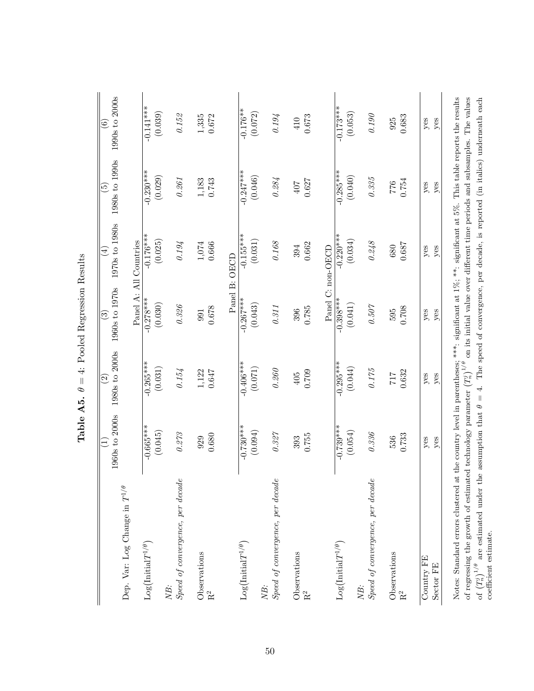|                                                                                                                                                                                                                 | 1960s to 2000s<br>Ξ    | 1980s to 2000s<br>$\widehat{\Omega}$ | 1960s to 1970s<br>$\widehat{\mathbb{C}}$                                                                                   | 1970s to 1980s<br>$\bigoplus$ | 1980s to 1990s<br>$\widetilde{5}$ | 1990s to 2000s<br>$\widehat{\mathbf{e}}$ |
|-----------------------------------------------------------------------------------------------------------------------------------------------------------------------------------------------------------------|------------------------|--------------------------------------|----------------------------------------------------------------------------------------------------------------------------|-------------------------------|-----------------------------------|------------------------------------------|
| Dep. Var: Log Change in $T^{1/\theta}$                                                                                                                                                                          |                        |                                      |                                                                                                                            |                               |                                   |                                          |
|                                                                                                                                                                                                                 |                        |                                      |                                                                                                                            | Panel A: All Countries        |                                   |                                          |
| $\text{Log}\big(\text{Initial}T^{1/\theta}\big)$                                                                                                                                                                | $-0.665***$<br>(0.045) | $-0.265***$<br>(0.031)               | $-0.278***$<br>(0.030)                                                                                                     | $-0.176***$<br>(0.025)        | $-0.230***$<br>(0.029)            | $-0.141***$<br>(0.039)                   |
| NB:                                                                                                                                                                                                             |                        |                                      |                                                                                                                            |                               |                                   |                                          |
| Speed of convergence, per decade                                                                                                                                                                                | $0.273\,$              | 0.154                                | $0.3\%$                                                                                                                    | $0.19\mskip-5mu\text{\it l}$  | $0.261\,$                         | $0.15\%$                                 |
|                                                                                                                                                                                                                 | 929                    | $1,122$                              | 991                                                                                                                        | $1,\!074$                     |                                   |                                          |
| $\begin{array}{c} {\rm Observations}\\ {\rm R}^2 \end{array}$                                                                                                                                                   | 0.680                  | 0.647                                | 0.678                                                                                                                      | 0.666                         | $1,183$<br>0.743                  | $1,335$<br>0.672                         |
|                                                                                                                                                                                                                 |                        |                                      |                                                                                                                            | Panel B: OECD                 |                                   |                                          |
| $Log(InitialT^{1/\theta})$                                                                                                                                                                                      | $-0.730***$            | $-0.406***$                          | $-0.267***$                                                                                                                | $-0.155***$                   | $-0.247***$                       | $-0.176**$                               |
|                                                                                                                                                                                                                 | (0.094)                | (0.071)                              | (0.043)                                                                                                                    | (0.031)                       | (0.046)                           | (0.072)                                  |
| NB:                                                                                                                                                                                                             |                        |                                      |                                                                                                                            |                               |                                   |                                          |
| Speed of convergence, per decade                                                                                                                                                                                | $0.327\,$              | $0.260\,$                            | 0.311                                                                                                                      | $0.168\,$                     | $0.284\,$                         | 0.194                                    |
| Observations                                                                                                                                                                                                    | 393                    | 405                                  | 396                                                                                                                        | 394                           | 407                               | 410                                      |
| $\rm R^2$                                                                                                                                                                                                       | 0.755                  | 0.709                                | 0.785                                                                                                                      | 0.662                         | 0.627                             | 0.673                                    |
|                                                                                                                                                                                                                 |                        |                                      |                                                                                                                            | Panel C: non-OECD             |                                   |                                          |
| $Log(InitialT^{1/\theta})$                                                                                                                                                                                      | $-0.739***$            | $-0.295***$                          | $-0.398***$                                                                                                                | $-0.220$ <sup>**</sup>        | $-0.285***$                       | $-0.173***$                              |
|                                                                                                                                                                                                                 | (0.054)                | (0.044)                              | (0.041)                                                                                                                    | (0.034)                       | (0.040)                           | (0.053)                                  |
| NB:                                                                                                                                                                                                             |                        |                                      |                                                                                                                            |                               |                                   |                                          |
| Speed of convergence, per decade                                                                                                                                                                                | $0.336\,$              | $0.175\,$                            | $0.507\,$                                                                                                                  | $0.248\,$                     | $0.335\,$                         | $0.190\,$                                |
| Observations                                                                                                                                                                                                    | 536                    | $717$                                | 595                                                                                                                        | 680                           | 0.754                             | 925                                      |
|                                                                                                                                                                                                                 | 0.733                  | 0.632                                | 0.708                                                                                                                      | 0.687                         |                                   | 0.683                                    |
| Country FE                                                                                                                                                                                                      | yes                    | yes                                  | $y$ es                                                                                                                     | $y$ es                        | yes                               | yes                                      |
| Sector FE                                                                                                                                                                                                       | yes                    | yes                                  | yes                                                                                                                        | yes                           | yes                               | yes                                      |
| Notes: Standard errors clustered                                                                                                                                                                                |                        |                                      | at the country level in parentheses; ***: significant at $1\%$ ; **: significant at $5\%$ . This table reports the results |                               |                                   |                                          |
| of regressing the growth of estimated technology parameter $(T_n^j)^{1/\theta}$                                                                                                                                 |                        |                                      | on its initial value over different time periods and subsamples. The values                                                |                               |                                   |                                          |
| are estimated under the assumption that $\theta = 4$ . The speed of convergence, per decade, is reported (in italics) underneath each<br>coefficient estimate.<br>of $\left(T_n^j\right)^{1/\theta}$ $\epsilon$ |                        |                                      |                                                                                                                            |                               |                                   |                                          |
|                                                                                                                                                                                                                 |                        |                                      |                                                                                                                            |                               |                                   |                                          |

Table A5.  $\theta=4$ : Pooled Regression Results **Table A5.**  $\theta = 4$ : Pooled Regression Results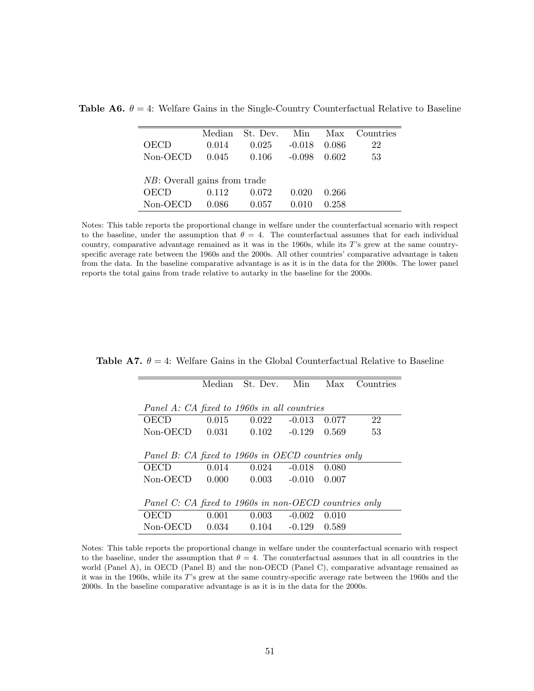| OECD                                 | Median<br>0.014 | St. Dev.<br>0.025 | Min<br>$-0.018$ | Max<br>0.086 | Countries<br>22 |
|--------------------------------------|-----------------|-------------------|-----------------|--------------|-----------------|
| Non-OECD                             | 0.045           | 0.106             | $-0.098$        | 0.602        | 53              |
| <i>NB</i> : Overall gains from trade |                 |                   |                 |              |                 |
| OECD                                 | 0.112           | 0.072             | 0.020           | 0.266        |                 |
| Non-OECD                             | 0.086           | 0.057             |                 | 0.258        |                 |

**Table A6.**  $\theta = 4$ : Welfare Gains in the Single-Country Counterfactual Relative to Baseline

Notes: This table reports the proportional change in welfare under the counterfactual scenario with respect to the baseline, under the assumption that  $\theta = 4$ . The counterfactual assumes that for each individual country, comparative advantage remained as it was in the 1960s, while its T's grew at the same countryspecific average rate between the 1960s and the 2000s. All other countries' comparative advantage is taken from the data. In the baseline comparative advantage is as it is in the data for the 2000s. The lower panel reports the total gains from trade relative to autarky in the baseline for the 2000s.

**Table A7.**  $\theta = 4$ : Welfare Gains in the Global Counterfactual Relative to Baseline

|                                                       |       | Median St. Dev. Min  |  | Max   | Countries |  |  |
|-------------------------------------------------------|-------|----------------------|--|-------|-----------|--|--|
| Panel A: CA fixed to 1960s in all countries           |       |                      |  |       |           |  |  |
| <b>OECD</b>                                           | 0.015 | $0.022 - 0.013$      |  | 0.077 | 22        |  |  |
| Non-OECD 0.031 0.102 -0.129 0.569                     |       |                      |  |       | 53        |  |  |
|                                                       |       |                      |  |       |           |  |  |
| Panel B: CA fixed to 1960s in OECD countries only     |       |                      |  |       |           |  |  |
| OECD                                                  | 0.014 | $0.024 - 0.018$      |  | 0.080 |           |  |  |
| $Non-OECD$ 0.000                                      |       | $0.003 -0.010 0.007$ |  |       |           |  |  |
|                                                       |       |                      |  |       |           |  |  |
| Panel C: CA fixed to 1960s in non-OECD countries only |       |                      |  |       |           |  |  |
| OECD                                                  | 0.001 | $0.003 - 0.002$      |  | 0.010 |           |  |  |
| $Non-OECD$ 0.034                                      |       | $0.104 -0.129 0.589$ |  |       |           |  |  |

Notes: This table reports the proportional change in welfare under the counterfactual scenario with respect to the baseline, under the assumption that  $\theta = 4$ . The counterfactual assumes that in all countries in the world (Panel A), in OECD (Panel B) and the non-OECD (Panel C), comparative advantage remained as it was in the 1960s, while its T's grew at the same country-specific average rate between the 1960s and the 2000s. In the baseline comparative advantage is as it is in the data for the 2000s.